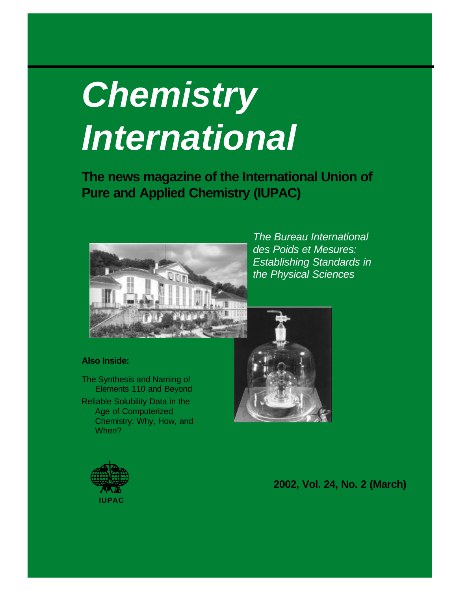# *Chemistry International*

**The news magazine of the International Union of Pure and Applied Chemistry (IUPAC)**



*The Bureau International des Poids et Mesures: Establishing Standards in the Physical Sciences*

### **Also Inside:**

The Synthesis and Naming of Elements 110 and Beyond

Reliable Solubility Data in the Age of Computerized Chemistry: Why, How, and When?





**2002, Vol. 24, No. 2 (March)**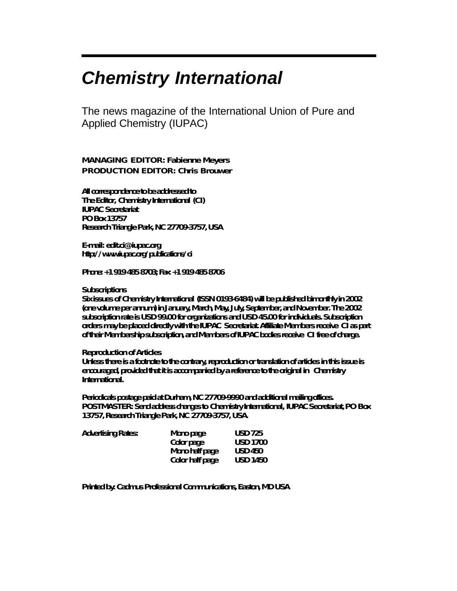# *Chemistry International*

The news magazine of the International Union of Pure and Applied Chemistry (IUPAC)

**MANAGING EDITOR: Fabienne Meyers PRODUCTION EDITOR: Chris Brouwer**

**All correspondence to be addressed to The Editor, Chemistry International (CI) IUPAC Secretariat POBox 13757 Research Triangle Park, NC 27709-3757, USA**

**E-mail: edit.ci@iupac.org http://www.iupac.org/publications/ci**

**Phone: +1 919 485 8703; Fax: +1 919 485 8706** 

### **Subscriptions**

**Six issues of Chemistry International (ISSN 0193-6484) will be published bimonthly in 2002 (one volume per annum) in January, March, May, July, September, and November. The 2002 subscription rate is USD 99.00 for organizations and USD 45.00 for individuals. Subscription orders may be placed directly with the IUPAC Secretariat. Affiliate Members receive CIas part of their Membership subscription, and Members of IUPAC bodies receive CI free of charge.**

### **Reproduction of Articles**

**Unless there is a footnote to the contrary, reproduction or translation of articles in this issue is encouraged, provided that it is accompanied by a reference to the original in Chemistry International.**

**Periodicals postage paid at Durham, NC 27709-9990 and additional mailing offices. POSTMASTER:Send address changes to Chemistry International, IUPAC Secretariat, PO Box 13757, Research Triangle Park, NC27709-3757, USA.**

| <b>Advertising Rates:</b> | Mono page       | USD 725         |
|---------------------------|-----------------|-----------------|
|                           | Color page      | <b>USD 1700</b> |
|                           | Mono half page  | <b>USD 450</b>  |
|                           | Color half page | <b>USD 1450</b> |

**Printed by: Cadmus Professional Communications, Easton, MD USA**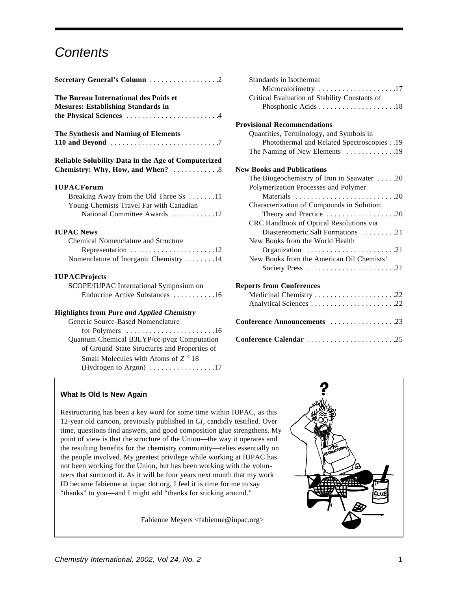# *Contents*

| Secretary General's Column 2                                                            |  |  |
|-----------------------------------------------------------------------------------------|--|--|
| The Bureau International des Poids et<br><b>Mesures: Establishing Standards in</b>      |  |  |
| The Synthesis and Naming of Elements                                                    |  |  |
| Reliable Solubility Data in the Age of Computerized<br>Chemistry: Why, How, and When? 8 |  |  |
| <b>IUPACForum</b>                                                                       |  |  |
| Breaking Away from the Old Three Ss 11                                                  |  |  |
| Young Chemists Travel Far with Canadian                                                 |  |  |
| National Committee Awards 12                                                            |  |  |
| <b>IUPAC News</b>                                                                       |  |  |
| <b>Chemical Nomenclature and Structure</b>                                              |  |  |
| Representation 12                                                                       |  |  |
| Nomenclature of Inorganic Chemistry 14                                                  |  |  |
| <b>IUPACProjects</b>                                                                    |  |  |
| SCOPE/IUPAC International Symposium on                                                  |  |  |
| Endocrine Active Substances 16                                                          |  |  |
| <b>Highlights from Pure and Applied Chemistry</b>                                       |  |  |
| Generic Source-Based Nomenclature                                                       |  |  |
| for Polymers $\dots \dots \dots \dots \dots \dots \dots \dots \dots 16$                 |  |  |
| Quantum Chemical B3LYP/cc-pvqz Computation                                              |  |  |

of Ground-State Structures and Properties of Small Molecules with Atoms of  $Z \leq 18$ (Hydrogen to Argon) . . . . . . . . . . . . . . . . 17

| Critical Evaluation of Stability Constants of |
|-----------------------------------------------|
|                                               |
| <b>Provisional Recommendations</b>            |
| Quantities, Terminology, and Symbols in       |
| Photothermal and Related Spectroscopies 19    |
| The Naming of New Elements 19                 |
| <b>New Books and Publications</b>             |
| The Biogeochemistry of Iron in Seawater 20    |
| Polymerization Processes and Polymer          |
|                                               |
| Characterization of Compounds in Solution:    |
|                                               |
| CRC Handbook of Optical Resolutions via       |
| Diastereomeric Salt Formations 21             |
| New Books from the World Health               |
| Organization 21                               |
| New Books from the American Oil Chemists'     |
|                                               |
| <b>Reports from Conferences</b>               |
| Medicinal Chemistry 22                        |
|                                               |
| <b>Conference Announcements</b> 23            |
| Conference Calendar 25                        |

Microcalorimetry .....................17

Standards in Isothermal

### **What Is Old Is New Again**

Restructuring has been a key word for some time within IUPAC, as this 12-year old cartoon, previously published in *CI*, candidly testified. Over time, questions find answers, and good composition glue strengthens. My point of view is that the structure of the Union—the way it operates and the resulting benefits for the chemistry community—relies essentially on the people involved. My greatest privilege while working at IUPAC has not been working for the Union, but has been working with the volunteers that surround it. As it will be four years next month that my work ID became fabienne at iupac dot org, I feel it is time for me to say "thanks" to you—and I might add "thanks for sticking around."

Fabienne Meyers <fabienne@iupac.org>

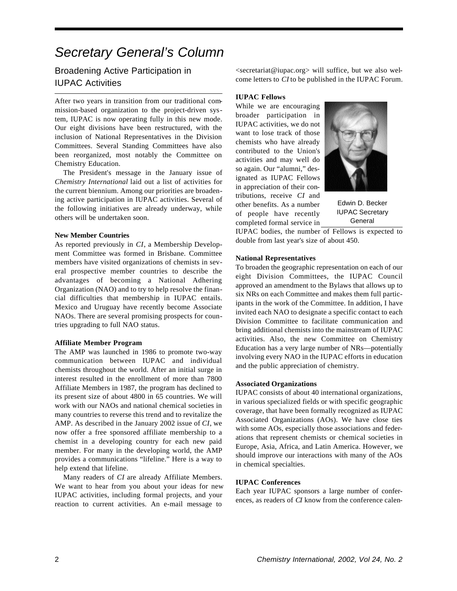# *Secretary General's Column*

Broadening Active Participation in IUPAC Activities

After two years in transition from our traditional commission-based organization to the project-driven system, IUPAC is now operating fully in this new mode. Our eight divisions have been restructured, with the inclusion of National Representatives in the Division Committees. Several Standing Committees have also been reorganized, most notably the Committee on Chemistry Education.

The President's message in the January issue of *Chemistry International* laid out a list of activities for the current biennium. Among our priorities are broadening active participation in IUPAC activities. Several of the following initiatives are already underway, while others will be undertaken soon.

### **New Member Countries**

As reported previously in *CI*, a Membership Development Committee was formed in Brisbane. Committee members have visited organizations of chemists in several prospective member countries to describe the advantages of becoming a National Adhering Organization (NAO) and to try to help resolve the financial difficulties that membership in IUPAC entails. Mexico and Uruguay have recently become Associate NAOs. There are several promising prospects for countries upgrading to full NAO status.

#### **Affiliate Member Program**

The AMP was launched in 1986 to promote two-way communication between IUPAC and individual chemists throughout the world. After an initial surge in interest resulted in the enrollment of more than 7800 Affiliate Members in 1987, the program has declined to its present size of about 4800 in 65 countries. We will work with our NAOs and national chemical societies in many countries to reverse this trend and to revitalize the AMP. As described in the January 2002 issue of *CI*, we now offer a free sponsored affiliate membership to a chemist in a developing country for each new paid member. For many in the developing world, the AMP provides a communications "lifeline." Here is a way to help extend that lifeline.

Many readers of *CI* are already Affiliate Members. We want to hear from you about your ideas for new IUPAC activities, including formal projects, and your reaction to current activities. An e-mail message to

 $\leq$ secretariat@iupac.org> will suffice, but we also welcome letters to *CI* to be published in the IUPAC Forum.

#### **IUPAC Fellows**

While we are encouraging broader participation in IUPAC activities, we do not want to lose track of those chemists who have already contributed to the Union's activities and may well do so again. Our "alumni," designated as IUPAC Fellows in appreciation of their contributions, receive *CI* and other benefits. As a number of people have recently completed formal service in



Edwin D. Becker IUPAC Secretary **General** 

IUPAC bodies, the number of Fellows is expected to double from last year's size of about 450.

#### **National Representatives**

To broaden the geographic representation on each of our eight Division Committees, the IUPAC Council approved an amendment to the Bylaws that allows up to six NRs on each Committee and makes them full participants in the work of the Committee. In addition, I have invited each NAO to designate a specific contact to each Division Committee to facilitate communication and bring additional chemists into the mainstream of IUPAC activities. Also, the new Committee on Chemistry Education has a very large number of NRs—potentially involving every NAO in the IUPAC efforts in education and the public appreciation of chemistry.

#### **Associated Organizations**

IUPAC consists of about 40 international organizations, in various specialized fields or with specific geographic coverage, that have been formally recognized as IUPAC Associated Organizations (AOs). We have close ties with some AOs, especially those associations and federations that represent chemists or chemical societies in Europe, Asia, Africa, and Latin America. However, we should improve our interactions with many of the AOs in chemical specialties.

#### **IUPAC Conferences**

Each year IUPAC sponsors a large number of conferences, as readers of *CI* know from the conference calen-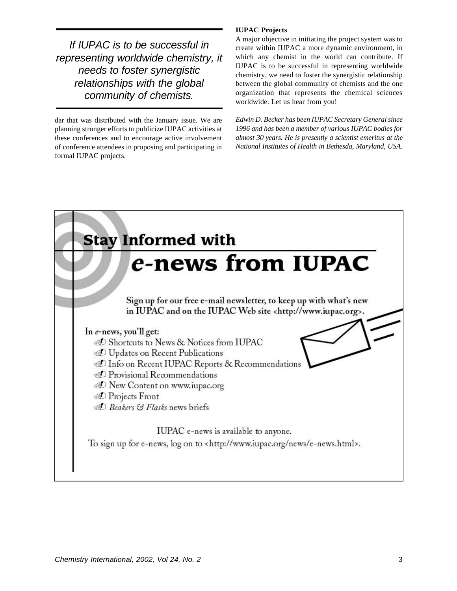*If IUPAC is to be successful in representing worldwide chemistry, it needs to foster synergistic relationships with the global community of chemists.*

dar that was distributed with the January issue. We are planning stronger efforts to publicize IUPAC activities at these conferences and to encourage active involvement of conference attendees in proposing and participating in formal IUPAC projects.

### **IUPAC Projects**

A major objective in initiating the project system was to create within IUPAC a more dynamic environment, in which any chemist in the world can contribute. If IUPAC is to be successful in representing worldwide chemistry, we need to foster the synergistic relationship between the global community of chemists and the one organization that represents the chemical sciences worldwide. Let us hear from you!

*Edwin D. Becker has been IUPAC Secretary General since 1996 and has been a member of various IUPAC bodies for almost 30 years. He is presently a scientist emeritus at the National Institutes of Health in Bethesda, Maryland, USA.*

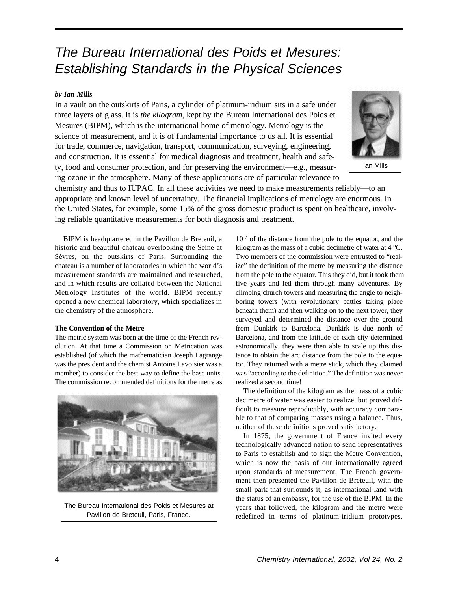# *The Bureau International des Poids et Mesures: Establishing Standards in the Physical Sciences*

### *by Ian Mills*

In a vault on the outskirts of Paris, a cylinder of platinum-iridium sits in a safe under three layers of glass. It is *the kilogram*, kept by the Bureau International des Poids et Mesures (BIPM), which is the international home of metrology. Metrology is the science of measurement, and it is of fundamental importance to us all. It is essential for trade, commerce, navigation, transport, communication, surveying, engineering, and construction. It is essential for medical diagnosis and treatment, health and safety, food and consumer protection, and for preserving the environment—e.g., measuring ozone in the atmosphere. Many of these applications are of particular relevance to



Ian Mills

chemistry and thus to IUPAC. In all these activities we need to make measurements reliably—to an appropriate and known level of uncertainty. The financial implications of metrology are enormous. In the United States, for example, some 15% of the gross domestic product is spent on healthcare, involving reliable quantitative measurements for both diagnosis and treatment.

BIPM is headquartered in the Pavillon de Breteuil, a historic and beautiful chateau overlooking the Seine at Sèvres, on the outskirts of Paris. Surrounding the chateau is a number of laboratories in which the world's measurement standards are maintained and researched, and in which results are collated between the National Metrology Institutes of the world. BIPM recently opened a new chemical laboratory, which specializes in the chemistry of the atmosphere.

### **The Convention of the Metre**

The metric system was born at the time of the French revolution. At that time a Commission on Metrication was established (of which the mathematician Joseph Lagrange was the president and the chemist Antoine Lavoisier was a member) to consider the best way to define the base units. The commission recommended definitions for the metre as



The Bureau International des Poids et Mesures at Pavillon de Breteuil, Paris, France.

10-7 of the distance from the pole to the equator, and the kilogram as the mass of a cubic decimetre of water at 4 °C. Two members of the commission were entrusted to "realize" the definition of the metre by measuring the distance from the pole to the equator. This they did, but it took them five years and led them through many adventures. By climbing church towers and measuring the angle to neighboring towers (with revolutionary battles taking place beneath them) and then walking on to the next tower, they surveyed and determined the distance over the ground from Dunkirk to Barcelona. Dunkirk is due north of Barcelona, and from the latitude of each city determined astronomically, they were then able to scale up this distance to obtain the arc distance from the pole to the equator. They returned with a metre stick, which they claimed was "according to the definition." The definition was never realized a second time!

The definition of the kilogram as the mass of a cubic decimetre of water was easier to realize, but proved difficult to measure reproducibly, with accuracy comparable to that of comparing masses using a balance. Thus, neither of these definitions proved satisfactory.

In 1875, the government of France invited every technologically advanced nation to send representatives to Paris to establish and to sign the Metre Convention, which is now the basis of our internationally agreed upon standards of measurement. The French government then presented the Pavillon de Breteuil, with the small park that surrounds it, as international land with the status of an embassy, for the use of the BIPM. In the years that followed, the kilogram and the metre were redefined in terms of platinum-iridium prototypes,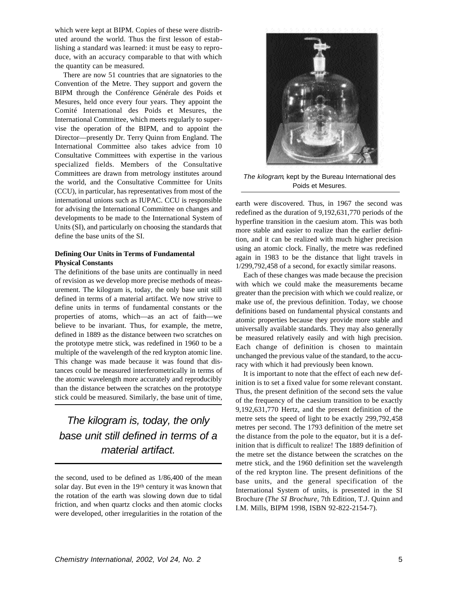which were kept at BIPM. Copies of these were distributed around the world. Thus the first lesson of establishing a standard was learned: it must be easy to reproduce, with an accuracy comparable to that with which the quantity can be measured.

There are now 51 countries that are signatories to the Convention of the Metre. They support and govern the BIPM through the Conférence Générale des Poids et Mesures, held once every four years. They appoint the Comité International des Poids et Mesures, the International Committee, which meets regularly to supervise the operation of the BIPM, and to appoint the Director—presently Dr. Terry Quinn from England. The International Committee also takes advice from 10 Consultative Committees with expertise in the various specialized fields. Members of the Consultative Committees are drawn from metrology institutes around the world, and the Consultative Committee for Units (CCU), in particular, has representatives from most of the international unions such as IUPAC. CCU is responsible for advising the International Committee on changes and developments to be made to the International System of Units (SI), and particularly on choosing the standards that define the base units of the SI.

### **Defining Our Units in Terms of Fundamental Physical Constants**

The definitions of the base units are continually in need of revision as we develop more precise methods of measurement. The kilogram is, today, the only base unit still defined in terms of a material artifact. We now strive to define units in terms of fundamental constants or the properties of atoms, which—as an act of faith—we believe to be invariant. Thus, for example, the metre, defined in 1889 as the distance between two scratches on the prototype metre stick, was redefined in 1960 to be a multiple of the wavelength of the red krypton atomic line. This change was made because it was found that distances could be measured interferometrically in terms of the atomic wavelength more accurately and reproducibly than the distance between the scratches on the prototype stick could be measured. Similarly, the base unit of time,

# *The kilogram is, today, the only base unit still defined in terms of a material artifact.*

the second, used to be defined as 1/86,400 of the mean solar day. But even in the 19th century it was known that the rotation of the earth was slowing down due to tidal friction, and when quartz clocks and then atomic clocks were developed, other irregularities in the rotation of the



*The kilogram*, kept by the Bureau International des Poids et Mesures.

earth were discovered. Thus, in 1967 the second was redefined as the duration of 9,192,631,770 periods of the hyperfine transition in the caesium atom. This was both more stable and easier to realize than the earlier definition, and it can be realized with much higher precision using an atomic clock. Finally, the metre was redefined again in 1983 to be the distance that light travels in 1/299,792,458 of a second, for exactly similar reasons.

Each of these changes was made because the precision with which we could make the measurements became greater than the precision with which we could realize, or make use of, the previous definition. Today, we choose definitions based on fundamental physical constants and atomic properties because they provide more stable and universally available standards. They may also generally be measured relatively easily and with high precision. Each change of definition is chosen to maintain unchanged the previous value of the standard, to the accuracy with which it had previously been known.

It is important to note that the effect of each new definition is to set a fixed value for some relevant constant. Thus, the present definition of the second sets the value of the frequency of the caesium transition to be exactly 9,192,631,770 Hertz, and the present definition of the metre sets the speed of light to be exactly 299,792,458 metres per second. The 1793 definition of the metre set the distance from the pole to the equator, but it is a definition that is difficult to realize! The 1889 definition of the metre set the distance between the scratches on the metre stick, and the 1960 definition set the wavelength of the red krypton line. The present definitions of the base units, and the general specification of the International System of units, is presented in the SI Brochure (*The SI Brochure*, 7th Edition, T.J. Quinn and I.M. Mills, BIPM 1998, ISBN 92-822-2154-7).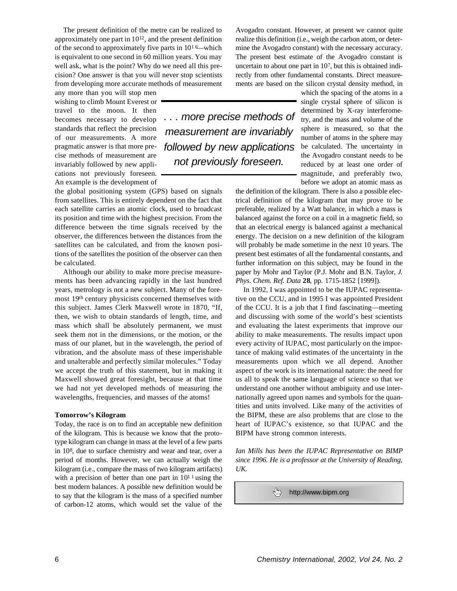The present definition of the metre can be realized to approximately one part in 1012, and the present definition of the second to approximately five parts in  $10^{16}$ —which is equivalent to one second in 60 million years. You may well ask, what is the point? Why do we need all this precision? One answer is that you will never stop scientists from developing more accurate methods of measurement

any more than you will stop men wishing to climb Mount Everest or travel to the moon. It then becomes necessary to develop standards that reflect the precision of our measurements. A more pragmatic answer is that more precise methods of measurement are invariably followed by new applications not previously foreseen. An example is the development of

the global positioning system (GPS) based on signals from satellites. This is entirely dependent on the fact that each satellite carries an atomic clock, used to broadcast its position and time with the highest precision. From the difference between the time signals received by the observer, the differences between the distances from the satellites can be calculated, and from the known positions of the satellites the position of the observer can then be calculated.

Although our ability to make more precise measurements has been advancing rapidly in the last hundred years, metrology is not a new subject. Many of the foremost 19th century physicists concerned themselves with this subject. James Clerk Maxwell wrote in 1870, "If, then, we wish to obtain standards of length, time, and mass which shall be absolutely permanent, we must seek them not in the dimensions, or the motion, or the mass of our planet, but in the wavelength, the period of vibration, and the absolute mass of these imperishable and unalterable and perfectly similar molecules." Today we accept the truth of this statement, but in making it Maxwell showed great foresight, because at that time we had not yet developed methods of measuring the wavelengths, frequencies, and masses of the atoms!

### **Tomorrow's Kilogram**

Today, the race is on to find an acceptable new definition of the kilogram. This is because we know that the prototype kilogram can change in mass at the level of a few parts in 108, due to surface chemistry and wear and tear, over a period of months. However, we can actually weigh the kilogram (i.e., compare the mass of two kilogram artifacts) with a precision of better than one part in  $10^{11}$  using the best modern balances. A possible new definition would be to say that the kilogram is the mass of a specified number of carbon-12 atoms, which would set the value of the

*. . . more precise methods of measurement are invariably followed by new applications not previously foreseen.*

Avogadro constant. However, at present we cannot quite realize this definition (i.e., weigh the carbon atom, or determine the Avogadro constant) with the necessary accuracy. The present best estimate of the Avogadro constant is uncertain to about one part in 107, but this is obtained indirectly from other fundamental constants. Direct measurements are based on the silicon crystal density method, in

> which the spacing of the atoms in a single crystal sphere of silicon is determined by X-ray interferometry, and the mass and volume of the sphere is measured, so that the number of atoms in the sphere may be calculated. The uncertainty in the Avogadro constant needs to be reduced by at least one order of magnitude, and preferably two, before we adopt an atomic mass as

the definition of the kilogram. There is also a possible electrical definition of the kilogram that may prove to be preferable, realized by a Watt balance, in which a mass is balanced against the force on a coil in a magnetic field, so that an electrical energy is balanced against a mechanical energy. The decision on a new definition of the kilogram will probably be made sometime in the next 10 years. The present best estimates of all the fundamental constants, and further information on this subject, may be found in the paper by Mohr and Taylor (P.J. Mohr and B.N. Taylor, *J. Phys. Chem. Ref. Data* **28**, pp. 1715-1852 [1999]).

In 1992, I was appointed to be the IUPAC representative on the CCU, and in 1995 I was appointed President of the CCU. It is a job that I find fascinating—meeting and discussing with some of the world's best scientists and evaluating the latest experiments that improve our ability to make measurements. The results impact upon every activity of IUPAC, most particularly on the importance of making valid estimates of the uncertainty in the measurements upon which we all depend. Another aspect of the work is its international nature: the need for us all to speak the same language of science so that we understand one another without ambiguity and use internationally agreed upon names and symbols for the quantities and units involved. Like many of the activities of the BIPM, these are also problems that are close to the heart of IUPAC's existence, so that IUPAC and the BIPM have strong common interests.

*Ian Mills has been the IUPAC Representative on BIMP since 1996. He is a professor at the University of Reading, UK.*

> $\mathbb{C}^{\mathbb{N}}$ http://www.bipm.org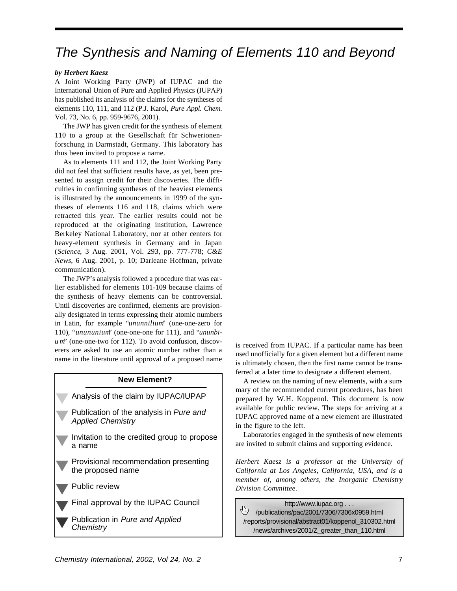# *The Synthesis and Naming of Elements 110 and Beyond*

### *by Herbert Kaesz*

A Joint Working Party (JWP) of IUPAC and the International Union of Pure and Applied Physics (IUPAP) has published its analysis of the claims for the syntheses of elements 110, 111, and 112 (P.J. Karol, *Pure Appl. Chem.* Vol. 73, No. 6, pp. 959-9676, 2001).

The JWP has given credit for the synthesis of element 110 to a group at the Gesellschaft für Schwerionenforschung in Darmstadt, Germany. This laboratory has thus been invited to propose a name.

As to elements 111 and 112, the Joint Working Party did not feel that sufficient results have, as yet, been presented to assign credit for their discoveries. The difficulties in confirming syntheses of the heaviest elements is illustrated by the announcements in 1999 of the syntheses of elements 116 and 118, claims which were retracted this year. The earlier results could not be reproduced at the originating institution, Lawrence Berkeley National Laboratory, nor at other centers for heavy-element synthesis in Germany and in Japan (*Science*, 3 Aug. 2001, Vol. 293, pp. 777-778; *C&E News*, 6 Aug. 2001, p. 10; Darleane Hoffman, private communication).

The JWP's analysis followed a procedure that was earlier established for elements 101-109 because claims of the synthesis of heavy elements can be controversial. Until discoveries are confirmed, elements are provisionally designated in terms expressing their atomic numbers in Latin, for example "*ununnilium*" (one-one-zero for 110), "*unununium*" (one-one-one for 111), and "*ununbiu m*" (one-one-two for 112). To avoid confusion, discoverers are asked to use an atomic number rather than a name in the literature until approval of a proposed name



is received from IUPAC. If a particular name has been used unofficially for a given element but a different name is ultimately chosen, then the first name cannot be transferred at a later time to designate a different element.

A review on the naming of new elements, with a summary of the recommended current procedures, has been prepared by W.H. Koppenol. This document is now available for public review. The steps for arriving at a IUPAC approved name of a new element are illustrated in the figure to the left.

Laboratories engaged in the synthesis of new elements are invited to submit claims and supporting evidence.

*Herbert Kaesz is a professor at the University of California at Los Angeles, California, USA, and is a member of, among others, the Inorganic Chemistry Division Committee.*

http://www.iupac.org . . . Ŵ /publications/pac/2001/7306/7306x0959.html /reports/provisional/abstract01/koppenol\_310302.html /news/archives/2001/Z\_greater\_than\_110.html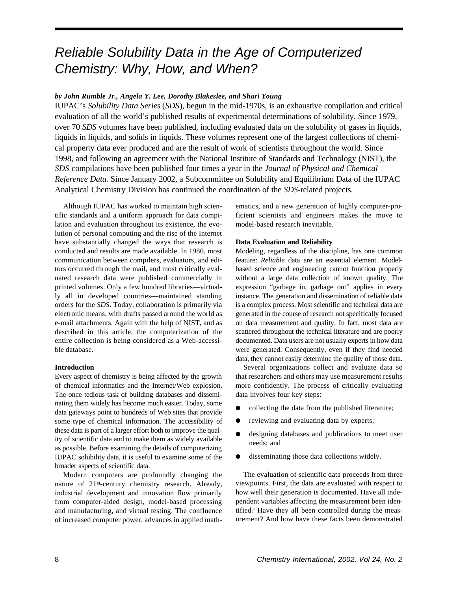# *Reliable Solubility Data in the Age of Computerized Chemistry: Why, How, and When?*

### *by John Rumble Jr., Angela Y. Lee, Dorothy Blakeslee, and Shari Young*

IUPAC's *Solubility Data Series* (*SDS*), begun in the mid-1970s, is an exhaustive compilation and critical evaluation of all the world's published results of experimental determinations of solubility. Since 1979, over 70 *SDS* volumes have been published, including evaluated data on the solubility of gases in liquids, liquids in liquids, and solids in liquids. These volumes represent one of the largest collections of chemical property data ever produced and are the result of work of scientists throughout the world. Since 1998, and following an agreement with the National Institute of Standards and Technology (NIST), the *SDS* compilations have been published four times a year in the *Journal of Physical and Chemical Reference Data*. Since January 2002, a Subcommittee on Solubility and Equilibrium Data of the IUPAC Analytical Chemistry Division has continued the coordination of the *SDS*-related projects.

Although IUPAC has worked to maintain high scientific standards and a uniform approach for data compilation and evaluation throughout its existence, the evolution of personal computing and the rise of the Internet have substantially changed the ways that research is conducted and results are made available. In 1980, most communication between compilers, evaluators, and editors occurred through the mail, and most critically evaluated research data were published commercially in printed volumes. Only a few hundred libraries—virtually all in developed countries—maintained standing orders for the *SDS*. Today, collaboration is primarily via electronic means, with drafts passed around the world as e-mail attachments. Again with the help of NIST, and as described in this article, the computerization of the entire collection is being considered as a Web-accessible database.

#### **Introduction**

Every aspect of chemistry is being affected by the growth of chemical informatics and the Internet/Web explosion. The once tedious task of building databases and disseminating them widely has become much easier. Today, some data gateways point to hundreds of Web sites that provide some type of chemical information. The accessibility of these data is part of a larger effort both to improve the quality of scientific data and to make them as widely available as possible. Before examining the details of computerizing IUPAC solubility data, it is useful to examine some of the broader aspects of scientific data.

Modern computers are profoundly changing the nature of 21st-century chemistry research. Already, industrial development and innovation flow primarily from computer-aided design, model-based processing and manufacturing, and virtual testing. The confluence of increased computer power, advances in applied mathematics, and a new generation of highly computer-proficient scientists and engineers makes the move to model-based research inevitable.

### **Data Evaluation and Reliability**

Modeling, regardless of the discipline, has one common feature: *Reliable* data are an essential element. Modelbased science and engineering cannot function properly without a large data collection of known quality. The expression "garbage in, garbage out" applies in every instance. The generation and dissemination of reliable data is a complex process. Most scientific and technical data are generated in the course of research not specifically focused on data measurement and quality. In fact, most data are scattered throughout the technical literature and are poorly documented. Data users are not usually experts in how data were generated. Consequently, even if they find needed data, they cannot easily determine the quality of those data.

Several organizations collect and evaluate data so that researchers and others may use measurement results more confidently. The process of critically evaluating data involves four key steps:

- collecting the data from the published literature;
- reviewing and evaluating data by experts;
- designing databases and publications to meet user needs; and
- disseminating those data collections widely.

The evaluation of scientific data proceeds from three viewpoints. First, the data are evaluated with respect to how well their generation is documented. Have all independent variables affecting the measurement been identified? Have they all been controlled during the measurement? And how have these facts been demonstrated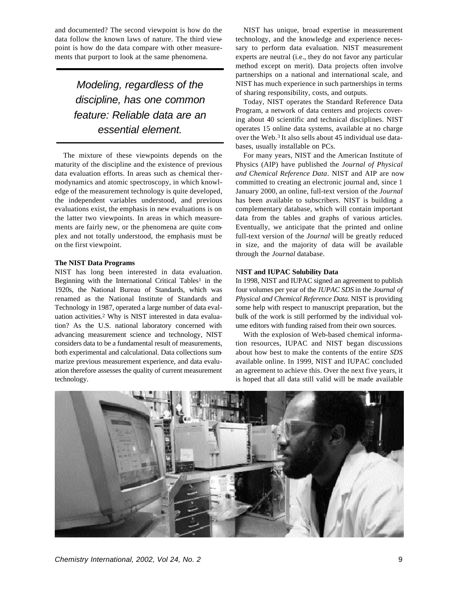and documented? The second viewpoint is how do the data follow the known laws of nature. The third viewpoint is how do the data compare with other measurements that purport to look at the same phenomena.

# *Modeling, regardless of the discipline, has one common feature: Reliable data are an essential element.*

The mixture of these viewpoints depends on the maturity of the discipline and the existence of previous data evaluation efforts. In areas such as chemical thermodynamics and atomic spectroscopy, in which knowledge of the measurement technology is quite developed, the independent variables understood, and previous evaluations exist, the emphasis in new evaluations is on the latter two viewpoints. In areas in which measurements are fairly new, or the phenomena are quite complex and not totally understood, the emphasis must be on the first viewpoint.

### **The NIST Data Programs**

NIST has long been interested in data evaluation. Beginning with the International Critical Tables <sup>1</sup> in the 1920s, the National Bureau of Standards, which was renamed as the National Institute of Standards and Technology in 1987, operated a large number of data evaluation activities. <sup>2</sup> Why is NIST interested in data evaluation? As the U.S. national laboratory concerned with advancing measurement science and technology, NIST considers data to be a fundamental result of measurements, both experimental and calculational. Data collections summarize previous measurement experience, and data evaluation therefore assesses the quality of current measurement technology.

NIST has unique, broad expertise in measurement technology, and the knowledge and experience necessary to perform data evaluation. NIST measurement experts are neutral (i.e., they do not favor any particular method except on merit). Data projects often involve partnerships on a national and international scale, and NIST has much experience in such partnerships in terms of sharing responsibility, costs, and outputs.

Today, NIST operates the Standard Reference Data Program, a network of data centers and projects covering about 40 scientific and technical disciplines. NIST operates 15 online data systems, available at no charge over the Web. <sup>3</sup> It also sells about 45 individual use databases, usually installable on PCs.

For many years, NIST and the American Institute of Physics (AIP) have published the *Journal of Physical and Chemical Reference Data*. NIST and AIP are now committed to creating an electronic journal and, since 1 January 2000, an online, full-text version of the *Journal* has been available to subscribers. NIST is building a complementary database, which will contain important data from the tables and graphs of various articles. Eventually, we anticipate that the printed and online full-text version of the *Journal* will be greatly reduced in size, and the majority of data will be available through the *Journal* database.

### N**IST and IUPAC Solubility Data**

In 1998, NIST and IUPAC signed an agreement to publish four volumes per year of the *IUPAC SDS* in the *Journal of Physical and Chemical Reference Data*. NIST is providing some help with respect to manuscript preparation, but the bulk of the work is still performed by the individual volume editors with funding raised from their own sources.

With the explosion of Web-based chemical information resources, IUPAC and NIST began discussions about how best to make the contents of the entire *SDS* available online. In 1999, NIST and IUPAC concluded an agreement to achieve this. Over the next five years, it is hoped that all data still valid will be made available

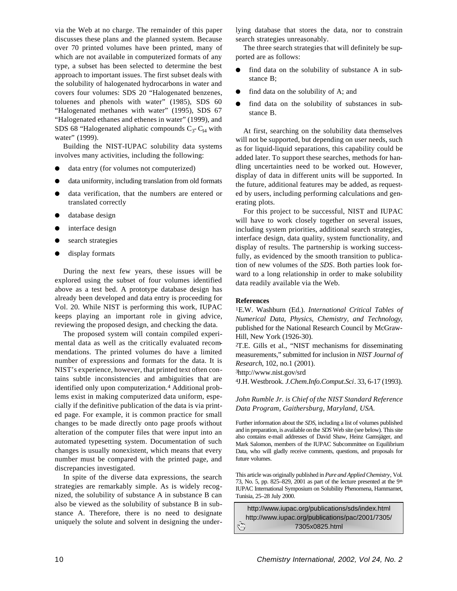via the Web at no charge. The remainder of this paper discusses these plans and the planned system. Because over 70 printed volumes have been printed, many of which are not available in computerized formats of any type, a subset has been selected to determine the best approach to important issues. The first subset deals with the solubility of halogenated hydrocarbons in water and covers four volumes: SDS 20 "Halogenated benzenes, toluenes and phenols with water" (1985), SDS 60 "Halogenated methanes with water" (1995), SDS 67 "Halogenated ethanes and ethenes in water" (1999), and SDS 68 "Halogenated aliphatic compounds  $C_3 - C_{14}$  with water" (1999).

Building the NIST-IUPAC solubility data systems involves many activities, including the following:

- data entry (for volumes not computerized)
- data uniformity, including translation from old formats
- data verification, that the numbers are entered or translated correctly
- database design
- interface design
- search strategies
- display formats

During the next few years, these issues will be explored using the subset of four volumes identified above as a test bed. A prototype database design has already been developed and data entry is proceeding for Vol. 20. While NIST is performing this work, IUPAC keeps playing an important role in giving advice, reviewing the proposed design, and checking the data.

The proposed system will contain compiled experimental data as well as the critically evaluated recommendations. The printed volumes do have a limited number of expressions and formats for the data. It is NIST's experience, however, that printed text often contains subtle inconsistencies and ambiguities that are identified only upon computerization. <sup>4</sup> Additional problems exist in making computerized data uniform, especially if the definitive publication of the data is via printed page. For example, it is common practice for small changes to be made directly onto page proofs without alteration of the computer files that were input into an automated typesetting system. Documentation of such changes is usually nonexistent, which means that every number must be compared with the printed page, and discrepancies investigated.

In spite of the diverse data expressions, the search strategies are remarkably simple. As is widely recognized, the solubility of substance A in substance B can also be viewed as the solubility of substance B in substance A. Therefore, there is no need to designate uniquely the solute and solvent in designing the underlying database that stores the data, nor to constrain search strategies unreasonably.

The three search strategies that will definitely be supported are as follows:

- find data on the solubility of substance A in substance B;
- find data on the solubility of A; and
- find data on the solubility of substances in substance B.

At first, searching on the solubility data themselves will not be supported, but depending on user needs, such as for liquid-liquid separations, this capability could be added later. To support these searches, methods for handling uncertainties need to be worked out. However, display of data in different units will be supported. In the future, additional features may be added, as requested by users, including performing calculations and generating plots.

For this project to be successful, NIST and IUPAC will have to work closely together on several issues, including system priorities, additional search strategies, interface design, data quality, system functionality, and display of results. The partnership is working successfully, as evidenced by the smooth transition to publication of new volumes of the *SDS*. Both parties look forward to a long relationship in order to make solubility data readily available via the Web.

#### **References**

<sup>1</sup>E.W. Washburn (Ed.). *International Critical Tables of Numerical Data, Physics, Chemistry, and Technology*, published for the National Research Council by McGraw-Hill, New York (1926-30).

<sup>2</sup>T.E. Gills et al., "NIST mechanisms for disseminating measurements," submitted for inclusion in *NIST Journal of Research*, 102, no.1 (2001).

<sup>3</sup>http://www.nist.gov/srd

<sup>4</sup>J.H. Westbrook. *J.Chem.Info.Comput.Sci*. 33, 6-17 (1993).

*John Rumble Jr. is Chief of the NIST Standard Reference Data Program, Gaithersburg, Maryland, USA.*

Further information about the *SDS*, including a list of volumes published and in preparation, is available on the *SDS* Web site (see below). This site also contains e-mail addresses of David Shaw, Heinz Gamsjäger, and Mark Salomon, members of the IUPAC Subcommittee on Equilibrium Data, who will gladly receive comments, questions, and proposals for future volumes.

This article was originally published in *Pure and Applied Chemistry*, Vol. 73, No. 5, pp. 825–829, 2001 as part of the lecture presented at the 9th IUPAC International Symposium on Solubility Phenomena, Hammamet, Tunisia, 25–28 July 2000.

http://www.iupac.org/publications/sds/index.html http://www.iupac.org/publications/pac/2001/7305/ Ŵ 7305x0825.html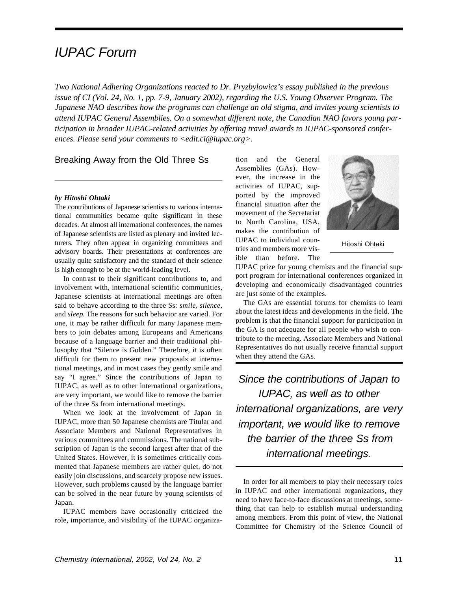# *IUPAC Forum*

*Two National Adhering Organizations reacted to Dr. Pryzbylowicz's essay published in the previous issue of CI (Vol. 24, No. 1, pp. 7-9, January 2002), regarding the U.S. Young Observer Program. The Japanese NAO describes how the programs can challenge an old stigma, and invites young scientists to attend IUPAC General Assemblies. On a somewhat different note, the Canadian NAO favors young participation in broader IUPAC-related activities by offering travel awards to IUPAC-sponsored conferences. Please send your comments to <edit.ci@iupac.org>.*

### Breaking Away from the Old Three Ss

### *by Hitoshi Ohtaki*

The contributions of Japanese scientists to various international communities became quite significant in these decades. At almost all international conferences, the names of Japanese scientists are listed as plenary and invited lecturers. They often appear in organizing committees and advisory boards. Their presentations at conferences are usually quite satisfactory and the standard of their science is high enough to be at the world-leading level.

In contrast to their significant contributions to, and involvement with, international scientific communities, Japanese scientists at international meetings are often said to behave according to the three Ss: *smile*, *silence*, and *sleep*. The reasons for such behavior are varied. For one, it may be rather difficult for many Japanese members to join debates among Europeans and Americans because of a language barrier and their traditional philosophy that "Silence is Golden." Therefore, it is often difficult for them to present new proposals at international meetings, and in most cases they gently smile and say "I agree." Since the contributions of Japan to IUPAC, as well as to other international organizations, are very important, we would like to remove the barrier of the three Ss from international meetings.

When we look at the involvement of Japan in IUPAC, more than 50 Japanese chemists are Titular and Associate Members and National Representatives in various committees and commissions. The national subscription of Japan is the second largest after that of the United States. However, it is sometimes critically commented that Japanese members are rather quiet, do not easily join discussions, and scarcely propose new issues. However, such problems caused by the language barrier can be solved in the near future by young scientists of Japan.

IUPAC members have occasionally criticized the role, importance, and visibility of the IUPAC organization and the General Assemblies (GAs). However, the increase in the activities of IUPAC, supported by the improved financial situation after the movement of the Secretariat to North Carolina, USA, makes the contribution of IUPAC to individual countries and members more visible than before. The



Hitoshi Ohtaki

IUPAC prize for young chemists and the financial support program for international conferences organized in developing and economically disadvantaged countries are just some of the examples.

The GAs are essential forums for chemists to learn about the latest ideas and developments in the field. The problem is that the financial support for participation in the GA is not adequate for all people who wish to contribute to the meeting. Associate Members and National Representatives do not usually receive financial support when they attend the GAs.

*Since the contributions of Japan to IUPAC, as well as to other international organizations, are very important, we would like to remove the barrier of the three Ss from international meetings.*

In order for all members to play their necessary roles in IUPAC and other international organizations, they need to have face-to-face discussions at meetings, something that can help to establish mutual understanding among members. From this point of view, the National Committee for Chemistry of the Science Council of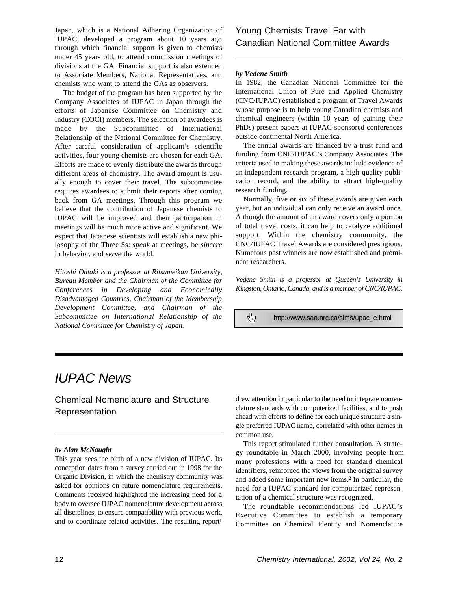Japan, which is a National Adhering Organization of IUPAC, developed a program about 10 years ago through which financial support is given to chemists under 45 years old, to attend commission meetings of divisions at the GA. Financial support is also extended to Associate Members, National Representatives, and chemists who want to attend the GAs as observers.

The budget of the program has been supported by the Company Associates of IUPAC in Japan through the efforts of Japanese Committee on Chemistry and Industry (COCI) members. The selection of awardees is made by the Subcommittee of International Relationship of the National Committee for Chemistry. After careful consideration of applicant's scientific activities, four young chemists are chosen for each GA. Efforts are made to evenly distribute the awards through different areas of chemistry. The award amount is usually enough to cover their travel. The subcommittee requires awardees to submit their reports after coming back from GA meetings. Through this program we believe that the contribution of Japanese chemists to IUPAC will be improved and their participation in meetings will be much more active and significant. We expect that Japanese scientists will establish a new philosophy of the Three Ss: *speak* at meetings, be *sincere* in behavior, and *serve* the world.

*Hitoshi Ohtaki is a professor at Ritsumeikan University, Bureau Member and the Chairman of the Committee for Conferences in Developing and Economically Disadvantaged Countries, Chairman of the Membership Development Committee, and Chairman of the Subcommittee on International Relationship of the National Committee for Chemistry of Japan.*

### Young Chemists Travel Far with Canadian National Committee Awards

### *by Vedene Smith*

In 1982, the Canadian National Committee for the International Union of Pure and Applied Chemistry (CNC/IUPAC) established a program of Travel Awards whose purpose is to help young Canadian chemists and chemical engineers (within 10 years of gaining their PhDs) present papers at IUPAC-sponsored conferences outside continental North America.

The annual awards are financed by a trust fund and funding from CNC/IUPAC's Company Associates. The criteria used in making these awards include evidence of an independent research program, a high-quality publication record, and the ability to attract high-quality research funding.

Normally, five or six of these awards are given each year, but an individual can only receive an award once. Although the amount of an award covers only a portion of total travel costs, it can help to catalyze additional support. Within the chemistry community, the CNC/IUPAC Travel Awards are considered prestigious. Numerous past winners are now established and prominent researchers.

*Vedene Smith is a professor at Queeen's University in Kingston, Ontario, Canada, and is a member of CNC/IUPAC.*

 $\mathbb{C}^L$ http://www.sao.nrc.ca/sims/upac\_e.html

# *IUPAC News*

### Chemical Nomenclature and Structure Representation

### *by Alan McNaught*

This year sees the birth of a new division of IUPAC. Its conception dates from a survey carried out in 1998 for the Organic Division, in which the chemistry community was asked for opinions on future nomenclature requirements. Comments received highlighted the increasing need for a body to oversee IUPAC nomenclature development across all disciplines, to ensure compatibility with previous work, and to coordinate related activities. The resulting report 1

drew attention in particular to the need to integrate nomenclature standards with computerized facilities, and to push ahead with efforts to define for each unique structure a single preferred IUPAC name, correlated with other names in common use.

This report stimulated further consultation. A strategy roundtable in March 2000, involving people from many professions with a need for standard chemical identifiers, reinforced the views from the original survey and added some important new items. <sup>2</sup> In particular, the need for a IUPAC standard for computerized representation of a chemical structure was recognized.

The roundtable recommendations led IUPAC's Executive Committee to establish a temporary Committee on Chemical Identity and Nomenclature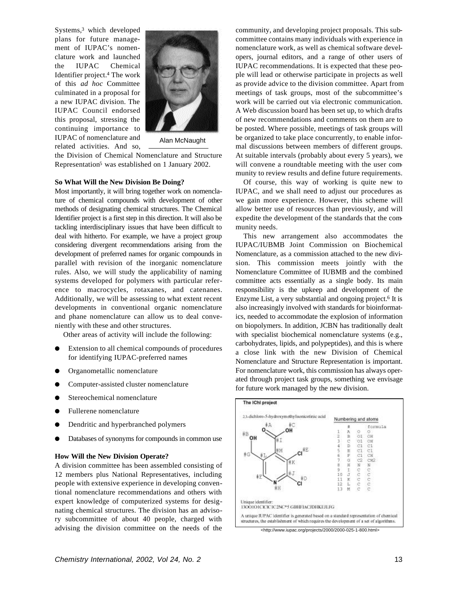Systems, <sup>3</sup> which developed plans for future management of IUPAC's nomenclature work and launched the IUPAC Chemical Identifier project. <sup>4</sup> The work of this *ad hoc* Committee culminated in a proposal for a new IUPAC division. The IUPAC Council endorsed this proposal, stressing the continuing importance to IUPAC of nomenclature and related activities. And so,



Alan McNaught

the Division of Chemical Nomenclature and Structure Representation<sup>5</sup> was established on 1 January 2002.

#### **So What Will the New Division Be Doing?**

Most importantly, it will bring together work on nomenclature of chemical compounds with development of other methods of designating chemical structures. The Chemical Identifier project is a first step in this direction. It will also be tackling interdisciplinary issues that have been difficult to deal with hitherto. For example, we have a project group considering divergent recommendations arising from the development of preferred names for organic compounds in parallel with revision of the inorganic nomenclature rules. Also, we will study the applicability of naming systems developed for polymers with particular reference to macrocycles, rotaxanes, and catenanes. Additionally, we will be assessing to what extent recent developments in conventional organic nomenclature and phane nomenclature can allow us to deal conveniently with these and other structures.

Other areas of activity will include the following:

- Extension to all chemical compounds of procedures for identifying IUPAC-preferred names
- Organometallic nomenclature
- Computer-assisted cluster nomenclature
- Stereochemical nomenclature
- Fullerene nomenclature
- Dendritic and hyperbranched polymers
- Databases of synonyms for compounds in common use

#### **How Will the New Division Operate?**

A division committee has been assembled consisting of 12 members plus National Representatives, including people with extensive experience in developing conventional nomenclature recommendations and others with expert knowledge of computerized systems for designating chemical structures. The division has an advisory subcommittee of about 40 people, charged with advising the division committee on the needs of the

community, and developing project proposals. This subcommittee contains many individuals with experience in nomenclature work, as well as chemical software developers, journal editors, and a range of other users of IUPAC recommendations. It is expected that these people will lead or otherwise participate in projects as well as provide advice to the division committee. Apart from meetings of task groups, most of the subcommittee's work will be carried out via electronic communication. A Web discussion board has been set up, to which drafts of new recommendations and comments on them are to be posted. Where possible, meetings of task groups will be organized to take place concurrently, to enable informal discussions between members of different groups. At suitable intervals (probably about every 5 years), we will convene a roundtable meeting with the user community to review results and define future requirements.

Of course, this way of working is quite new to IUPAC, and we shall need to adjust our procedures as we gain more experience. However, this scheme will allow better use of resources than previously, and will expedite the development of the standards that the community needs.

This new arrangement also accommodates the IUPAC/IUBMB Joint Commission on Biochemical Nomenclature, as a commission attached to the new division. This commission meets jointly with the Nomenclature Committee of IUBMB and the combined committee acts essentially as a single body. Its main responsibility is the upkeep and development of the Enzyme List, a very substantial and ongoing project. <sup>6</sup> It is also increasingly involved with standards for bioinformatics, needed to accommodate the explosion of information on biopolymers. In addition, JCBN has traditionally dealt with specialist biochemical nomenclature systems (e.g., carbohydrates, lipids, and polypeptides), and this is where a close link with the new Division of Chemical Nomenclature and Structure Representation is important. For nomenclature work, this commission has always operated through project task groups, something we envisage for future work managed by the new division.



<http://www.iupac.org/projects/2000/2000-025-1-800.html>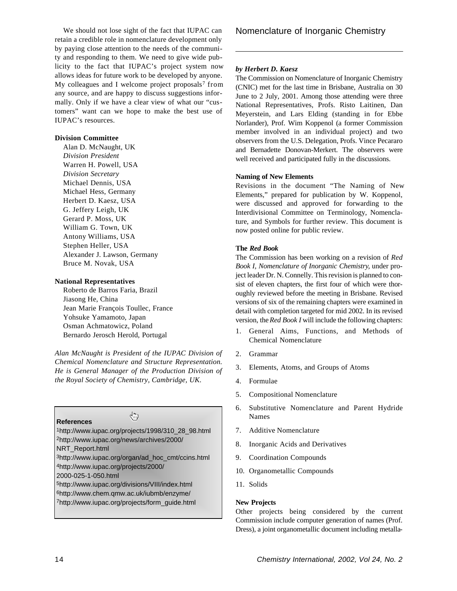We should not lose sight of the fact that IUPAC can retain a credible role in nomenclature development only by paying close attention to the needs of the community and responding to them. We need to give wide publicity to the fact that IUPAC's project system now allows ideas for future work to be developed by anyone. My colleagues and I welcome project proposals <sup>7</sup> from any source, and are happy to discuss suggestions informally. Only if we have a clear view of what our "customers" want can we hope to make the best use of IUPAC's resources.

### **Division Committee**

Alan D. McNaught, UK *Division President* Warren H. Powell, USA *Division Secretary* Michael Dennis, USA Michael Hess, Germany Herbert D. Kaesz, USA G. Jeffery Leigh, UK Gerard P. Moss, UK William G. Town, UK Antony Williams, USA Stephen Heller, USA Alexander J. Lawson, Germany Bruce M. Novak, USA

### **National Representatives**

Roberto de Barros Faria, Brazil Jiasong He, China Jean Marie François Toullec, France Yohsuke Yamamoto, Japan Osman Achmatowicz, Poland Bernardo Jerosch Herold, Portugal

*Alan McNaught is President of the IUPAC Division of Chemical Nomenclature and Structure Representation. He is General Manager of the Production Division of the Royal Society of Chemistry, Cambridge, UK.*

#### **References**

http://www.iupac.org/projects/1998/310\_28\_98.html http://www.iupac.org/news/archives/2000/ NRT\_Report.html http://www.iupac.org/organ/ad\_hoc\_cmt/ccins.html http://www.iupac.org/projects/2000/

 $\oplus$ 

2000-025-1-050.html

5http://www.iupac.org/divisions/VIII/index.html 6http://www.chem.qmw.ac.uk/iubmb/enzyme/

7http://www.iupac.org/projects/form\_guide.html

### *by Herbert D. Kaesz*

The Commission on Nomenclature of Inorganic Chemistry (CNIC) met for the last time in Brisbane, Australia on 30 June to 2 July, 2001. Among those attending were three National Representatives, Profs. Risto Laitinen, Dan Meyerstein, and Lars Elding (standing in for Ebbe Norlander), Prof. Wim Koppenol (a former Commission member involved in an individual project) and two observers from the U.S. Delegation, Profs. Vince Pecararo and Bernadette Donovan-Merkert. The observers were well received and participated fully in the discussions.

### **Naming of New Elements**

Revisions in the document "The Naming of New Elements," prepared for publication by W. Koppenol, were discussed and approved for forwarding to the Interdivisional Committee on Terminology, Nomenclature, and Symbols for further review. This document is now posted online for public review.

### **The** *Red Book*

The Commission has been working on a revision of *Red Book I, Nomenclature of Inorganic Chemistry*, under project leader Dr. N. Connelly. This revision is planned to consist of eleven chapters, the first four of which were thoroughly reviewed before the meeting in Brisbane. Revised versions of six of the remaining chapters were examined in detail with completion targeted for mid 2002. In its revised version, the*Red Book I* will include the following chapters:

- 1. General Aims, Functions, and Methods of Chemical Nomenclature
- 2. Grammar
- 3. Elements, Atoms, and Groups of Atoms
- 4. Formulae
- 5. Compositional Nomenclature
- 6. Substitutive Nomenclature and Parent Hydride Names
- 7. Additive Nomenclature
- 8. Inorganic Acids and Derivatives
- 9. Coordination Compounds
- 10. Organometallic Compounds
- 11. Solids

### **New Projects**

Other projects being considered by the current Commission include computer generation of names (Prof. Dress), a joint organometallic document including metalla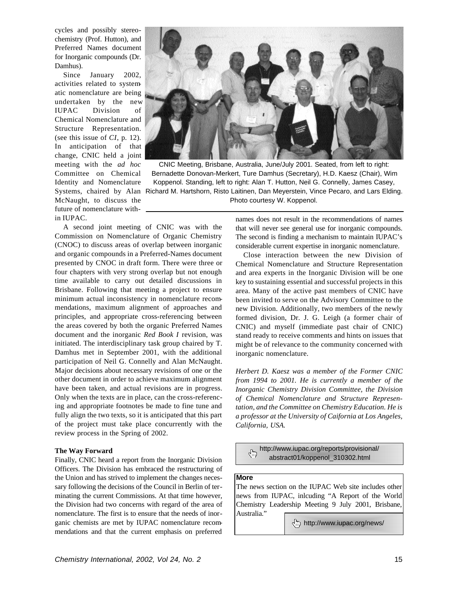cycles and possibly stereochemistry (Prof. Hutton), and Preferred Names document for Inorganic compounds (Dr. Damhus).

Since January 2002, activities related to systematic nomenclature are being undertaken by the new IUPAC Division of Chemical Nomenclature and Structure Representation. (see this issue of *CI*, p. 12). In anticipation of that change, CNIC held a joint meeting with the *ad hoc* Committee on Chemical Identity and Nomenclature McNaught, to discuss the future of nomenclature within IUPAC.



Systems, chaired by Alan Richard M. Hartshorn, Risto Laitinen, Dan Meyerstein, Vince Pecaro, and Lars Elding. CNIC Meeting, Brisbane, Australia, June/July 2001. Seated, from left to right: Bernadette Donovan-Merkert, Ture Damhus (Secretary), H.D. Kaesz (Chair), Wim Koppenol. Standing, left to right: Alan T. Hutton, Neil G. Connelly, James Casey, Photo courtesy W. Koppenol.

A second joint meeting of CNIC was with the Commission on Nomenclature of Organic Chemistry (CNOC) to discuss areas of overlap between inorganic and organic compounds in a Preferred-Names document presented by CNOC in draft form. There were three or four chapters with very strong overlap but not enough time available to carry out detailed discussions in Brisbane. Following that meeting a project to ensure minimum actual inconsistency in nomenclature recommendations, maximum alignment of approaches and principles, and appropriate cross-referencing between the areas covered by both the organic Preferred Names document and the inorganic *Red Book I* revision, was initiated. The interdisciplinary task group chaired by T. Damhus met in September 2001, with the additional participation of Neil G. Connelly and Alan McNaught. Major decisions about necessary revisions of one or the other document in order to achieve maximum alignment have been taken, and actual revisions are in progress. Only when the texts are in place, can the cross-referencing and appropriate footnotes be made to fine tune and fully align the two texts, so it is anticipated that this part of the project must take place concurrently with the review process in the Spring of 2002.

#### **The Way Forward**

Finally, CNIC heard a report from the Inorganic Division Officers. The Division has embraced the restructuring of the Union and has strived to implement the changes necessary following the decisions of the Council in Berlin of terminating the current Commissions. At that time however, the Division had two concerns with regard of the area of nomenclature. The first is to ensure that the needs of inorganic chemists are met by IUPAC nomenclature recommendations and that the current emphasis on preferred

names does not result in the recommendations of names that will never see general use for inorganic compounds. The second is finding a mechanism to maintain IUPAC's considerable current expertise in inorganic nomenclature.

Close interaction between the new Division of Chemical Nomenclature and Structure Representation and area experts in the Inorganic Division will be one key to sustaining essential and successful projects in this area. Many of the active past members of CNIC have been invited to serve on the Advisory Committee to the new Division. Additionally, two members of the newly formed division, Dr. J. G. Leigh (a former chair of CNIC) and myself (immediate past chair of CNIC) stand ready to receive comments and hints on issues that might be of relevance to the community concerned with inorganic nomenclature.

*Herbert D. Kaesz was a member of the Former CNIC from 1994 to 2001. He is currently a member of the Inorganic Chemistry Division Committee, the Division of Chemical Nomenclature and Structure Representation, and the Committee on Chemistry Education. He is a professor at the University of Caifornia at Los Angeles, California, USA.*

http://www.iupac.org/reports/provisional/ abstract01/koppenol\_310302.html

#### **More**

The news section on the IUPAC Web site includes other news from IUPAC, inlcuding "A Report of the World Chemistry Leadership Meeting 9 July 2001, Brisbane, Australia."

http://www.iupac.org/news/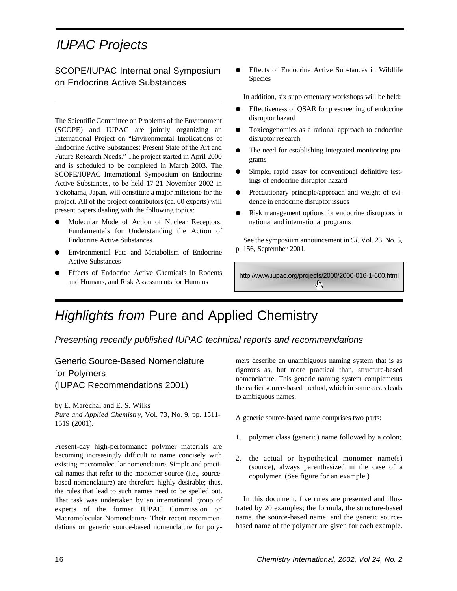# *IUPAC Projects*

SCOPE/IUPAC International Symposium on Endocrine Active Substances

The Scientific Committee on Problems of the Environment (SCOPE) and IUPAC are jointly organizing an International Project on "Environmental Implications of Endocrine Active Substances: Present State of the Art and Future Research Needs." The project started in April 2000 and is scheduled to be completed in March 2003. The SCOPE/IUPAC International Symposium on Endocrine Active Substances, to be held 17-21 November 2002 in Yokohama, Japan, will constitute a major milestone for the project. All of the project contributors (ca. 60 experts) will present papers dealing with the following topics:

- Molecular Mode of Action of Nuclear Receptors; Fundamentals for Understanding the Action of Endocrine Active Substances
- Environmental Fate and Metabolism of Endocrine Active Substances
- Effects of Endocrine Active Chemicals in Rodents and Humans, and Risk Assessments for Humans

Effects of Endocrine Active Substances in Wildlife Species

In addition, six supplementary workshops will be held:

- Effectiveness of QSAR for prescreening of endocrine disruptor hazard
- Toxicogenomics as a rational approach to endocrine disruptor research
- The need for establishing integrated monitoring programs
- Simple, rapid assay for conventional definitive testings of endocrine disruptor hazard
- Precautionary principle/approach and weight of evidence in endocrine disruptor issues
- Risk management options for endocrine disruptors in national and international programs

See the symposium announcement in*CI*, Vol. 23, No. 5, p. 156, September 2001.

http://www.iupac.org/projects/2000/2000-016-1-600.html √lii).

# *Highlights from* Pure and Applied Chemistry

### *Presenting recently published IUPAC technical reports and recommendations*

Generic Source-Based Nomenclature for Polymers (IUPAC Recommendations 2001)

by E. Maréchal and E. S. Wilks *Pure and Applied Chemistry,* Vol. 73, No. 9, pp. 1511- 1519 (2001).

Present-day high-performance polymer materials are becoming increasingly difficult to name concisely with existing macromolecular nomenclature. Simple and practical names that refer to the monomer source (i.e., sourcebased nomenclature) are therefore highly desirable; thus, the rules that lead to such names need to be spelled out. That task was undertaken by an international group of experts of the former IUPAC Commission on Macromolecular Nomenclature. Their recent recommendations on generic source-based nomenclature for polymers describe an unambiguous naming system that is as rigorous as, but more practical than, structure-based nomenclature. This generic naming system complements the earlier source-based method, which in some cases leads to ambiguous names.

A generic source-based name comprises two parts:

- 1. polymer class (generic) name followed by a colon;
- 2. the actual or hypothetical monomer name(s) (source), always parenthesized in the case of a copolymer. (See figure for an example.)

In this document, five rules are presented and illustrated by 20 examples; the formula, the structure-based name, the source-based name, and the generic sourcebased name of the polymer are given for each example.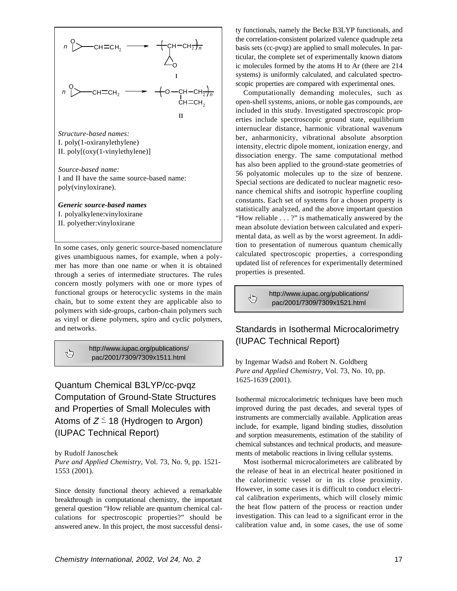

I. polyalkylene:vinyloxirane II. polyether:vinyloxirane

In some cases, only generic source-based nomenclature gives unambiguous names, for example, when a polymer has more than one name or when it is obtained through a series of intermediate structures. The rules concern mostly polymers with one or more types of functional groups or heterocyclic systems in the main chain, but to some extent they are applicable also to polymers with side-groups, carbon-chain polymers such as vinyl or diene polymers, spiro and cyclic polymers, and networks.

> http://www.iupac.org/publications/ pac/2001/7309/7309x1511.html

Quantum Chemical B3LYP/cc-pvqz Computation of Ground-State Structures and Properties of Small Molecules with Atoms of *Z* < 18 (Hydrogen to Argon) (IUPAC Technical Report)

by Rudolf Janoschek

᠊ᢆ

*Pure and Applied Chemistry*, Vol. 73, No. 9, pp. 1521- 1553 (2001).

Since density functional theory achieved a remarkable breakthrough in computational chemistry, the important general question "How reliable are quantum chemical calculations for spectroscopic properties?" should be answered anew. In this project, the most successful density functionals, namely the Becke B3LYP functionals, and the correlation-consistent polarized valence quadruple zeta basis sets (cc-pvqz) are applied to small molecules. In particular, the complete set of experimentally known diatomic molecules formed by the atoms H to Ar (there are 214 systems) is uniformly calculated, and calculated spectroscopic properties are compared with experimental ones.

Computationally demanding molecules, such as open-shell systems, anions, or noble gas compounds, are included in this study. Investigated spectroscopic properties include spectroscopic ground state, equilibrium internuclear distance, harmonic vibrational wavenumber, anharmonicity, vibrational absolute absorption intensity, electric dipole moment, ionization energy, and dissociation energy. The same computational method has also been applied to the ground-state geometries of 56 polyatomic molecules up to the size of benzene. Special sections are dedicated to nuclear magnetic resonance chemical shifts and isotropic hyperfine coupling constants. Each set of systems for a chosen property is statistically analyzed, and the above important question "How reliable . . . ?" is mathematically answered by the mean absolute deviation between calculated and experimental data, as well as by the worst agreement. In addition to presentation of numerous quantum chemically calculated spectroscopic properties, a corresponding updated list of references for experimentally determined properties is presented.

http://www.iupac.org/publications/  $\mathbb{C}^+$ pac/2001/7309/7309x1521.html

### Standards in Isothermal Microcalorimetry (IUPAC Technical Report)

by Ingemar Wadsö and Robert N. Goldberg *Pure and Applied Chemistry*, Vol. 73, No. 10, pp. 1625-1639 (2001).

Isothermal microcalorimetric techniques have been much improved during the past decades, and several types of instruments are commercially available. Application areas include, for example, ligand binding studies, dissolution and sorption measurements, estimation of the stability of chemical substances and technical products, and measurements of metabolic reactions in living cellular systems.

Most isothermal microcalorimeters are calibrated by the release of heat in an electrical heater positioned in the calorimetric vessel or in its close proximity. However, in some cases it is difficult to conduct electrical calibration experiments, which will closely mimic the heat flow pattern of the process or reaction under investigation. This can lead to a significant error in the calibration value and, in some cases, the use of some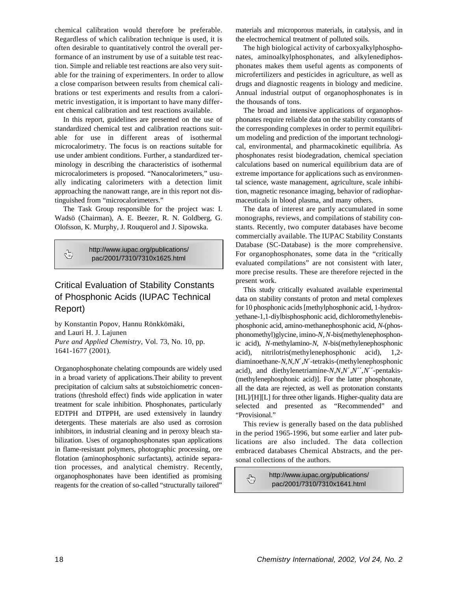chemical calibration would therefore be preferable. Regardless of which calibration technique is used, it is often desirable to quantitatively control the overall performance of an instrument by use of a suitable test reaction. Simple and reliable test reactions are also very suitable for the training of experimenters. In order to allow a close comparison between results from chemical calibrations or test experiments and results from a calorimetric investigation, it is important to have many different chemical calibration and test reactions available.

In this report, guidelines are presented on the use of standardized chemical test and calibration reactions suitable for use in different areas of isothermal microcalorimetry. The focus is on reactions suitable for use under ambient conditions. Further, a standardized terminology in describing the characteristics of isothermal microcalorimeters is proposed. "Nanocalorimeters," usually indicating calorimeters with a detection limit approaching the nanowatt range, are in this report not distinguished from "microcalorimeters."

The Task Group responsible for the project was: I. Wadsö (Chairman), A. E. Beezer, R. N. Goldberg, G. Olofsson, K. Murphy, J. Rouquerol and J. Sipowska.

> http://www.iupac.org/publications/ pac/2001/7310/7310x1625.html

 $\mathbb{C}$ 

### Critical Evaluation of Stability Constants of Phosphonic Acids (IUPAC Technical Report)

by Konstantin Popov, Hannu Rönkkömäki, and Lauri H. J. Lajunen *Pure and Applied Chemistry*, Vol. 73, No. 10, pp. 1641-1677 (2001).

Organophosphonate chelating compounds are widely used in a broad variety of applications.Their ability to prevent precipitation of calcium salts at substoichiometric concentrations (threshold effect) finds wide application in water treatment for scale inhibition. Phosphonates, particularly EDTPH and DTPPH, are used extensively in laundry detergents. These materials are also used as corrosion inhibitors, in industrial cleaning and in peroxy bleach stabilization. Uses of organophosphonates span applications in flame-resistant polymers, photographic processing, ore flotation (aminophosphonic surfactants), actinide separation processes, and analytical chemistry. Recently, organophosphonates have been identified as promising reagents for the creation of so-called "structurally tailored"

materials and microporous materials, in catalysis, and in the electrochemical treatment of polluted soils.

The high biological activity of carboxyalkylphosphonates, aminoalkylphosphonates, and alkylenediphosphonates makes them useful agents as components of microfertilizers and pesticides in agriculture, as well as drugs and diagnostic reagents in biology and medicine. Annual industrial output of organophosphonates is in the thousands of tons.

The broad and intensive applications of organophosphonates require reliable data on the stability constants of the corresponding complexes in order to permit equilibrium modeling and prediction of the important technological, environmental, and pharmacokinetic equilibria. As phosphonates resist biodegradation, chemical speciation calculations based on numerical equilibrium data are of extreme importance for applications such as environmental science, waste management, agriculture, scale inhibition, magnetic resonance imaging, behavior of radiopharmaceuticals in blood plasma, and many others.

The data of interest are partly accumulated in some monographs, reviews, and compilations of stability constants. Recently, two computer databases have become commercially available. The IUPAC Stability Constants Database (SC-Database) is the more comprehensive. For organophosphonates, some data in the "critically evaluated compilations" are not consistent with later, more precise results. These are therefore rejected in the present work.

This study critically evaluated available experimental data on stability constants of proton and metal complexes for 10 phosphonic acids [methylphosphonic acid, 1-hydroxyethane-1,1-diylbisphosphonic acid, dichloromethylenebisphosphonic acid, amino-methanephosphonic acid, *N*-(phosphonomethyl)glycine, imino-*N*, *N*-bis(methylenephosphonic acid), *N*-methylamino-*N*, *N*-bis(methylenephosphonic acid), nitrilotris(methylenephosphonic acid), 1,2 diaminoethane-*N*,*N*,*N*´,*N*´-tetrakis-(methylenephosphonic acid), and diethylenetriamine-*N*,*N*,*N*´,*N*´´,*N*´´-pentakis- (methylenephosphonic acid)]. For the latter phosphonate, all the data are rejected, as well as protonation constants [HL]/[H][L] for three other ligands. Higher-quality data are selected and presented as "Recommended" and "Provisional."

This review is generally based on the data published in the period 1965-1996, but some earlier and later publications are also included. The data collection embraced databases Chemical Abstracts, and the personal collections of the authors.

http://www.iupac.org/publications/  $\overline{\mathbb{C}}$ pac/2001/7310/7310x1641.html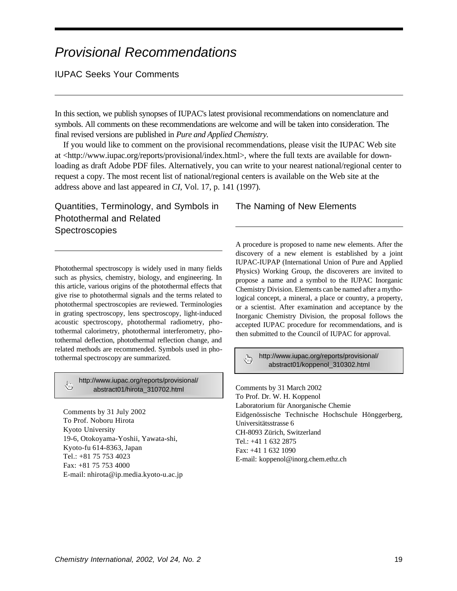# *Provisional Recommendations*

IUPAC Seeks Your Comments

In this section, we publish synopses of IUPAC's latest provisional recommendations on nomenclature and symbols. All comments on these recommendations are welcome and will be taken into consideration. The final revised versions are published in *Pure and Applied Chemistry*.

If you would like to comment on the provisional recommendations, please visit the IUPAC Web site at <http://www.iupac.org/reports/provisional/index.html>, where the full texts are available for downloading as draft Adobe PDF files. Alternatively, you can write to your nearest national/regional center to request a copy. The most recent list of national/regional centers is available on the Web site at the address above and last appeared in *CI*, Vol. 17, p. 141 (1997).

Quantities, Terminology, and Symbols in Photothermal and Related **Spectroscopies** 

Photothermal spectroscopy is widely used in many fields such as physics, chemistry, biology, and engineering. In this article, various origins of the photothermal effects that give rise to photothermal signals and the terms related to photothermal spectroscopies are reviewed. Terminologies in grating spectroscopy, lens spectroscopy, light-induced acoustic spectroscopy, photothermal radiometry, photothermal calorimetry, photothermal interferometry, photothermal deflection, photothermal reflection change, and related methods are recommended. Symbols used in photothermal spectroscopy are summarized.

http://www.iupac.org/reports/provisional/  $\sqrt{\frac{1}{10}}$ abstract01/hirota\_310702.html

Comments by 31 July 2002 To Prof. Noboru Hirota Kyoto University 19-6, Otokoyama-Yoshii, Yawata-shi, Kyoto-fu 614-8363, Japan Tel.: +81 75 753 4023 Fax: +81 75 753 4000 E-mail: nhirota@ip.media.kyoto-u.ac.jp

### The Naming of New Elements

A procedure is proposed to name new elements. After the discovery of a new element is established by a joint IUPAC-IUPAP (International Union of Pure and Applied Physics) Working Group, the discoverers are invited to propose a name and a symbol to the IUPAC Inorganic Chemistry Division. Elements can be named after a mythological concept, a mineral, a place or country, a property, or a scientist. After examination and acceptance by the Inorganic Chemistry Division, the proposal follows the accepted IUPAC procedure for recommendations, and is then submitted to the Council of IUPAC for approval.

http://www.iupac.org/reports/provisional/ ₩ abstract01/koppenol\_310302.html

Comments by 31 March 2002 To Prof. Dr. W. H. Koppenol Laboratorium für Anorganische Chemie Eidgenössische Technische Hochschule Hönggerberg, Universitätsstrasse 6 CH-8093 Zürich, Switzerland Tel.: +41 1 632 2875 Fax: +41 1 632 1090 E-mail: koppenol@inorg.chem.ethz.ch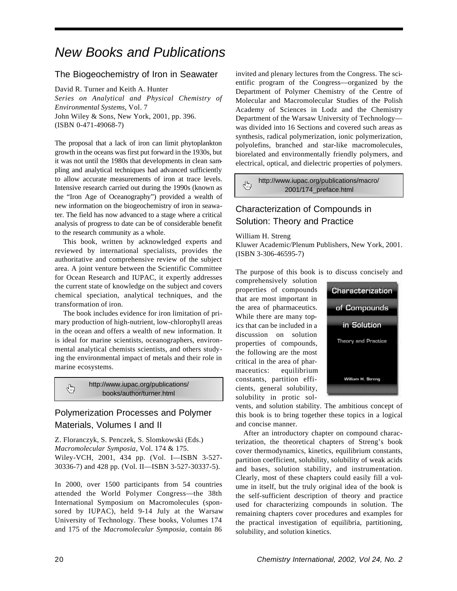## *New Books and Publications*

### The Biogeochemistry of Iron in Seawater

David R. Turner and Keith A. Hunter *Series on Analytical and Physical Chemistry of Environmental Systems*, Vol. 7 John Wiley & Sons, New York, 2001, pp. 396. (ISBN 0-471-49068-7)

The proposal that a lack of iron can limit phytoplankton growth in the oceans was first put forward in the 1930s, but it was not until the 1980s that developments in clean sampling and analytical techniques had advanced sufficiently to allow accurate measurements of iron at trace levels. Intensive research carried out during the 1990s (known as the "Iron Age of Oceanography") provided a wealth of new information on the biogeochemistry of iron in seawater. The field has now advanced to a stage where a critical analysis of progress to date can be of considerable benefit to the research community as a whole.

This book, written by acknowledged experts and reviewed by international specialists, provides the authoritative and comprehensive review of the subject area. A joint venture between the Scientific Committee for Ocean Research and IUPAC, it expertly addresses the current state of knowledge on the subject and covers chemical speciation, analytical techniques, and the transformation of iron.

The book includes evidence for iron limitation of primary production of high-nutrient, low-chlorophyll areas in the ocean and offers a wealth of new information. It is ideal for marine scientists, oceanographers, environmental analytical chemists scientists, and others studying the environmental impact of metals and their role in marine ecosystems.

http://www.iupac.org/publications/  $\mathbb{C}^5$ books/author/turner.html

### Polymerization Processes and Polymer Materials, Volumes I and II

Z. Floranczyk, S. Penczek, S. Slomkowski (Eds.) *Macromolecular Symposia*, Vol. 174 & 175. Wiley-VCH, 2001, 434 pp. (Vol. I—ISBN 3-527- 30336-7) and 428 pp. (Vol. II—ISBN 3-527-30337-5).

In 2000, over 1500 participants from 54 countries attended the World Polymer Congress—the 38th International Symposium on Macromolecules (sponsored by IUPAC), held 9-14 July at the Warsaw University of Technology. These books, Volumes 174 and 175 of the *Macromolecular Symposia*, contain 86

invited and plenary lectures from the Congress. The scientific program of the Congress—organized by the Department of Polymer Chemistry of the Centre of Molecular and Macromolecular Studies of the Polish Academy of Sciences in Lodz and the Chemistry Department of the Warsaw University of Technology was divided into 16 Sections and covered such areas as synthesis, radical polymerization, ionic polymerization, polyolefins, branched and star-like macromolecules, biorelated and environmentally friendly polymers, and electrical, optical, and dielectric properties of polymers.

http://www.iupac.org/publications/macro/ रोज़ 2001/174\_preface.html

### Characterization of Compounds in Solution: Theory and Practice

### William H. Streng

Kluwer Academic/Plenum Publishers, New York, 2001. (ISBN 3-306-46595-7)

The purpose of this book is to discuss concisely and

comprehensively solution properties of compounds that are most important in the area of pharmaceutics. While there are many topics that can be included in a discussion on solution properties of compounds, the following are the most critical in the area of pharmaceutics: equilibrium constants, partition efficients, general solubility, solubility in protic sol-



vents, and solution stability. The ambitious concept of this book is to bring together these topics in a logical and concise manner.

After an introductory chapter on compound characterization, the theoretical chapters of Streng's book cover thermodynamics, kinetics, equilibrium constants, partition coefficient, solubility, solubility of weak acids and bases, solution stability, and instrumentation. Clearly, most of these chapters could easily fill a volume in itself, but the truly original idea of the book is the self-sufficient description of theory and practice used for characterizing compounds in solution. The remaining chapters cover procedures and examples for the practical investigation of equilibria, partitioning, solubility, and solution kinetics.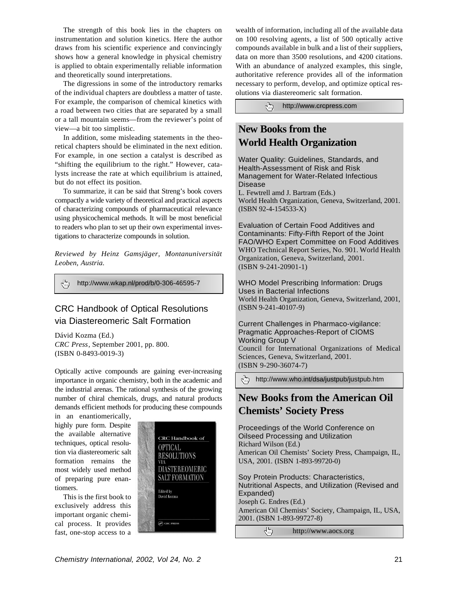The strength of this book lies in the chapters on instrumentation and solution kinetics. Here the author draws from his scientific experience and convincingly shows how a general knowledge in physical chemistry is applied to obtain experimentally reliable information and theoretically sound interpretations.

The digressions in some of the introductory remarks of the individual chapters are doubtless a matter of taste. For example, the comparison of chemical kinetics with a road between two cities that are separated by a small or a tall mountain seems—from the reviewer's point of view—a bit too simplistic.

In addition, some misleading statements in the theoretical chapters should be eliminated in the next edition. For example, in one section a catalyst is described as "shifting the equilibrium to the right." However, catalysts increase the rate at which equilibrium is attained, but do not effect its position.

To summarize, it can be said that Streng's book covers compactly a wide variety of theoretical and practical aspects of characterizing compounds of pharmaceutical relevance using physicochemical methods. It will be most beneficial to readers who plan to set up their own experimental investigations to characterize compounds in solution.

*Reviewed by Heinz Gamsjäger, Montanuniversität Leoben, Austria.*

http://www.wkap.nl/prod/b/0-306-46595-7 مي<br>(⊪}

### CRC Handbook of Optical Resolutions via Diastereomeric Salt Formation

Dávid Kozma (Ed.) *CRC Press*, September 2001, pp. 800. (ISBN 0-8493-0019-3)

Optically active compounds are gaining ever-increasing importance in organic chemistry, both in the academic and the industrial arenas. The rational synthesis of the growing number of chiral chemicals, drugs, and natural products demands efficient methods for producing these compounds

in an enantiomerically, highly pure form. Despite the available alternative techniques, optical resolution via diastereomeric salt formation remains the most widely used method of preparing pure enantiomers.

This is the first book to exclusively address this important organic chemical process. It provides fast, one-stop access to a



wealth of information, including all of the available data on 100 resolving agents, a list of 500 optically active compounds available in bulk and a list of their suppliers, data on more than 3500 resolutions, and 4200 citations. With an abundance of analyzed examples, this single, authoritative reference provides all of the information necessary to perform, develop, and optimize optical resolutions via diastereomeric salt formation.

http://www.crcpress.com

### **New Books from the World Health Organization**

Water Quality: Guidelines, Standards, and Health-Assessment of Risk and Risk Management for Water-Related Infectious Disease

L. Fewtrell amd J. Bartram (Eds.) World Health Organization, Geneva, Switzerland, 2001. (ISBN 92-4-154533-X)

Evaluation of Certain Food Additives and Contaminants: Fifty-Fifth Report of the Joint FAO/WHO Expert Committee on Food Additives WHO Technical Report Series, No. 901. World Health Organization, Geneva, Switzerland, 2001. (ISBN 9-241-20901-1)

WHO Model Prescribing Information: Drugs Uses in Bacterial Infections World Health Organization, Geneva, Switzerland, 2001, (ISBN 9-241-40107-9)

Current Challenges in Pharmaco-vigilance: Pragmatic Approaches-Report of CIOMS Working Group V Council for International Organizations of Medical Sciences, Geneva, Switzerland, 2001. (ISBN 9-290-36074-7)

http://www.who.int/dsa/justpub/justpub.htm

### **New Books from the American Oil Chemists' Society Press**

Proceedings of the World Conference on Oilseed Processing and Utilization Richard Wilson (Ed.) American Oil Chemists' Society Press, Champaign, IL, USA, 2001. (ISBN 1-893-99720-0)

Soy Protein Products: Characteristics, Nutritional Aspects, and Utilization (Revised and Expanded) Joseph G. Endres (Ed.) American Oil Chemists' Society, Champaign, IL, USA, 2001. (ISBN 1-893-99727-8)

http://www.aocs.org

্ট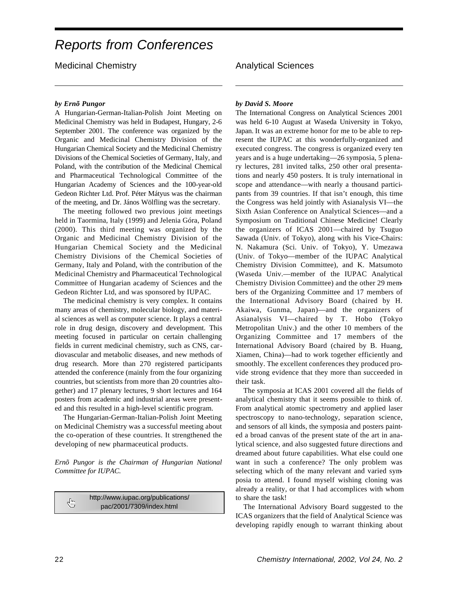# *Reports from Conferences*

Medicinal Chemistry

### *by Ernõ Pungor*

A Hungarian-German-Italian-Polish Joint Meeting on Medicinal Chemistry was held in Budapest, Hungary, 2-6 September 2001. The conference was organized by the Organic and Medicinal Chemistry Division of the Hungarian Chemical Society and the Medicinal Chemistry Divisions of the Chemical Societies of Germany, Italy, and Poland, with the contribution of the Medicinal Chemical and Pharmaceutical Technological Committee of the Hungarian Academy of Sciences and the 100-year-old Gedeon Richter Ltd. Prof. Péter Mátyus was the chairman of the meeting, and Dr. János Wölfling was the secretary.

The meeting followed two previous joint meetings held in Taormina, Italy (1999) and Jelenia Góra, Poland (2000). This third meeting was organized by the Organic and Medicinal Chemistry Division of the Hungarian Chemical Society and the Medicinal Chemistry Divisions of the Chemical Societies of Germany, Italy and Poland, with the contribution of the Medicinal Chemistry and Pharmaceutical Technological Committee of Hungarian academy of Sciences and the Gedeon Richter Ltd, and was sponsored by IUPAC.

The medicinal chemistry is very complex. It contains many areas of chemistry, molecular biology, and material sciences as well as computer science. It plays a central role in drug design, discovery and development. This meeting focused in particular on certain challenging fields in current medicinal chemistry, such as CNS, cardiovascular and metabolic diseases, and new methods of drug research. More than 270 registered participants attended the conference (mainly from the four organizing countries, but scientists from more than 20 countries altogether) and 17 plenary lectures, 9 short lectures and 164 posters from academic and industrial areas were presented and this resulted in a high-level scientific program.

The Hungarian-German-Italian-Polish Joint Meeting on Medicinal Chemistry was a successful meeting about the co-operation of these countries. It strengthened the developing of new pharmaceutical products.

*Ernõ Pungor is the Chairman of Hungarian National Committee for IUPAC.*

http://www.iupac.org/publications/ ₩ pac/2001/7309/index.html

Analytical Sciences

### *by David S. Moore*

The International Congress on Analytical Sciences 2001 was held 6-10 August at Waseda University in Tokyo, Japan. It was an extreme honor for me to be able to represent the IUPAC at this wonderfully-organized and executed congress. The congress is organized every ten years and is a huge undertaking—26 symposia, 5 plenary lectures, 281 invited talks, 250 other oral presentations and nearly 450 posters. It is truly international in scope and attendance—with nearly a thousand participants from 39 countries. If that isn't enough, this time the Congress was held jointly with Asianalysis VI—the Sixth Asian Conference on Analytical Sciences—and a Symposium on Traditional Chinese Medicine! Clearly the organizers of ICAS 2001—chaired by Tsuguo Sawada (Univ. of Tokyo), along with his Vice-Chairs: N. Nakamura (Sci. Univ. of Tokyo), Y. Umezawa (Univ. of Tokyo—member of the IUPAC Analytical Chemistry Division Committee), and K. Matsumoto (Waseda Univ.—member of the IUPAC Analytical Chemistry Division Committee) and the other 29 members of the Organizing Committee and 17 members of the International Advisory Board (chaired by H. Akaiwa, Gunma, Japan)—and the organizers of Asianalysis VI—chaired by T. Hobo (Tokyo Metropolitan Univ.) and the other 10 members of the Organizing Committee and 17 members of the International Advisory Board (chaired by B. Huang, Xiamen, China)—had to work together efficiently and smoothly. The excellent conferences they produced provide strong evidence that they more than succeeded in their task.

The symposia at ICAS 2001 covered all the fields of analytical chemistry that it seems possible to think of. From analytical atomic spectrometry and applied laser spectroscopy to nano-technology, separation science, and sensors of all kinds, the symposia and posters painted a broad canvas of the present state of the art in analytical science, and also suggested future directions and dreamed about future capabilities. What else could one want in such a conference? The only problem was selecting which of the many relevant and varied symposia to attend. I found myself wishing cloning was already a reality, or that I had accomplices with whom to share the task!

The International Advisory Board suggested to the ICAS organizers that the field of Analytical Science was developing rapidly enough to warrant thinking about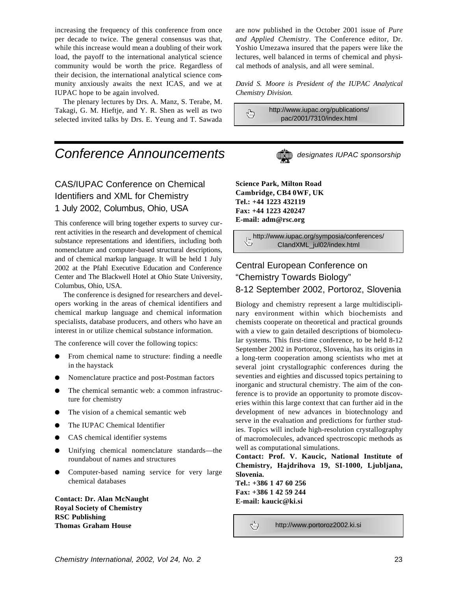increasing the frequency of this conference from once per decade to twice. The general consensus was that, while this increase would mean a doubling of their work load, the payoff to the international analytical science community would be worth the price. Regardless of their decision, the international analytical science community anxiously awaits the next ICAS, and we at IUPAC hope to be again involved.

The plenary lectures by Drs. A. Manz, S. Terabe, M. Takagi, G. M. Hieftje, and Y. R. Shen as well as two selected invited talks by Drs. E. Yeung and T. Sawada

# *Conference Announcements*

### CAS/IUPAC Conference on Chemical Identifiers and XML for Chemistry 1 July 2002, Columbus, Ohio, USA

This conference will bring together experts to survey current activities in the research and development of chemical substance representations and identifiers, including both nomenclature and computer-based structural descriptions, and of chemical markup language. It will be held 1 July 2002 at the Pfahl Executive Education and Conference Center and The Blackwell Hotel at Ohio State University, Columbus, Ohio, USA.

The conference is designed for researchers and developers working in the areas of chemical identifiers and chemical markup language and chemical information specialists, database producers, and others who have an interest in or utilize chemical substance information.

The conference will cover the following topics:

- From chemical name to structure: finding a needle in the haystack
- Nomenclature practice and post-Postman factors
- The chemical semantic web: a common infrastructure for chemistry
- The vision of a chemical semantic web
- The IUPAC Chemical Identifier
- CAS chemical identifier systems
- Unifying chemical nomenclature standards—the roundabout of names and structures
- Computer-based naming service for very large chemical databases

**Contact: Dr. Alan McNaught Royal Society of Chemistry RSC Publishing Thomas Graham House**

are now published in the October 2001 issue of *Pure and Applied Chemistry*. The Conference editor, Dr. Yoshio Umezawa insured that the papers were like the lectures, well balanced in terms of chemical and physical methods of analysis, and all were seminal.

*David S. Moore is President of the IUPAC Analytical Chemistry Division.*

http://www.iupac.org/publications/  $\mathbb{C}^2$ pac/2001/7310/index.html



*designates IUPAC sponsorship*

**Science Park, Milton Road Cambridge, CB4 0WF, UK Tel.: +44 1223 432119 Fax: +44 1223 420247 E-mail: adm@rsc.org**

> <sub>Tra</sub>http://www.iupac.org/symposia/conferences/ CIandXML\_jul02/index.html

### Central European Conference on "Chemistry Towards Biology" 8-12 September 2002, Portoroz, Slovenia

Biology and chemistry represent a large multidisciplinary environment within which biochemists and chemists cooperate on theoretical and practical grounds with a view to gain detailed descriptions of biomolecular systems. This first-time conference, to be held 8-12 September 2002 in Portoroz, Slovenia, has its origins in a long-term cooperation among scientists who met at several joint crystallographic conferences during the seventies and eighties and discussed topics pertaining to inorganic and structural chemistry. The aim of the conference is to provide an opportunity to promote discoveries within this large context that can further aid in the development of new advances in biotechnology and serve in the evaluation and predictions for further studies. Topics will include high-resolution crystallography of macromolecules, advanced spectroscopic methods as well as computational simulations.

**Contact: Prof. V. Kaucic, National Institute of Chemistry, Hajdrihova 19, SI-1000, Ljubljana, Slovenia.** 

**Tel.: +386 1 47 60 256 Fax: +386 1 42 59 244 E-mail: kaucic@ki.si**

> $\mathbb{C}^L$ http://www.portoroz2002.ki.si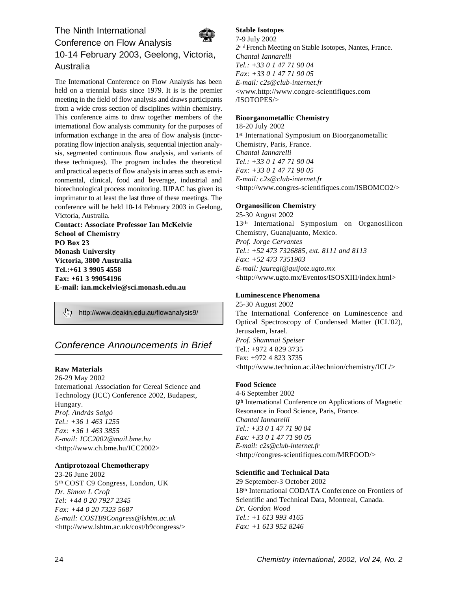### The Ninth International Conference on Flow Analysis 10-14 February 2003, Geelong, Victoria, Australia

The International Conference on Flow Analysis has been held on a triennial basis since 1979. It is is the premier meeting in the field of flow analysis and draws participants from a wide cross section of disciplines within chemistry. This conference aims to draw together members of the international flow analysis community for the purposes of information exchange in the area of flow analysis (incorporating flow injection analysis, sequential injection analysis, segmented continuous flow analysis, and variants of these techniques). The program includes the theoretical and practical aspects of flow analysis in areas such as environmental, clinical, food and beverage, industrial and biotechnological process monitoring. IUPAC has given its imprimatur to at least the last three of these meetings. The conference will be held 10-14 February 2003 in Geelong, Victoria, Australia.

**Contact: Associate Professor Ian McKelvie School of Chemistry PO Box 23 Monash University Victoria, 3800 Australia Tel.:+61 3 9905 4558 Fax: +61 3 99054196 E-mail: ian.mckelvie@sci.monash.edu.au**

 $\sqrt{\frac{h}{m}}$ http://www.deakin.edu.au/flowanalysis9/

### *Conference Announcements in Brief*

### **Raw Materials**

26-29 May 2002 International Association for Cereal Science and Technology (ICC) Conference 2002, Budapest, Hungary. *Prof. András Salgó Tel.: +36 1 463 1255 Fax: +36 1 463 3855 E-mail: ICC2002@mail.bme.hu* <http://www.ch.bme.hu/ICC2002>

### **Antiprotozoal Chemotherapy**

23-26 June 2002 5 th COST C9 Congress, London, UK *Dr. Simon L Croft Tel: +44 0 20 7927 2345 Fax: +44 0 20 7323 5687 E-mail: COSTB9Congress@lshtm.ac.uk* <http://www.lshtm.ac.uk/cost/b9congress/>

### **Stable Isotopes**

7-9 July 2002 2n dFrench Meeting on Stable Isotopes, Nantes, France. *Chantal Iannarelli Tel.: +33 0 1 47 71 90 04 Fax: +33 0 1 47 71 90 05 E-mail: c2s@club-internet.fr* <www.http://www.congre-scientifiques.com /ISOTOPES/>

### **Bioorganometallic Chemistry**

18-20 July 2002 1st International Symposium on Bioorganometallic Chemistry, Paris, France. *Chantal Iannarelli Tel.: +33 0 1 47 71 90 04 Fax: +33 0 1 47 71 90 05 E-mail: c2s@club-internet.fr* <http://www.congres-scientifiques.com/ISBOMCO2/>

### **Organosilicon Chemistry**

25-30 August 2002 13th International Symposium on Organosilicon Chemistry, Guanajuanto, Mexico. *Prof. Jorge Cervantes Tel.: +52 473 7326885, ext. 8111 and 8113 Fax: +52 473 7351903 E-mail: jauregi@quijote.ugto.mx* <http://www.ugto.mx/Eventos/ISOSXIII/index.html>

### **Luminescence Phenomena**

25-30 August 2002 The International Conference on Luminescence and Optical Spectroscopy of Condensed Matter (ICL'02), Jerusalem, Israel. *Prof. Shammai Speiser* Tel.: +972 4 829 3735 Fax: +972 4 823 3735 <http://www.technion.ac.il/technion/chemistry/ICL/>

### **Food Science**

4-6 September 2002 6th International Conference on Applications of Magnetic Resonance in Food Science, Paris, France. *Chantal Iannarelli Tel.: +33 0 1 47 71 90 04 Fax: +33 0 1 47 71 90 05 E-mail: c2s@club-internet.fr* <http://congres-scientifiques.com/MRFOOD/>

### **Scientific and Technical Data**

29 September-3 October 2002 18th International CODATA Conference on Frontiers of Scientific and Technical Data, Montreal, Canada. *Dr. Gordon Wood Tel.: +1 613 993 4165 Fax: +1 613 952 8246*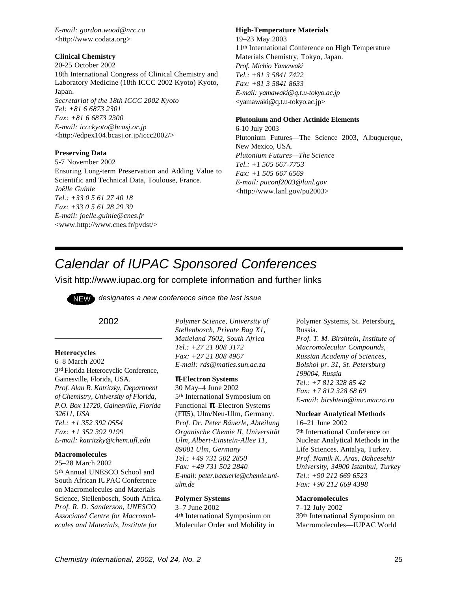*E-mail: gordon.wood@nrc.ca* <http://www.codata.org>

### **Clinical Chemistry**

20-25 October 2002 18th International Congress of Clinical Chemistry and Laboratory Medicine (18th ICCC 2002 Kyoto) Kyoto, Japan. *Secretariat of the 18th ICCC 2002 Kyoto Tel: +81 6 6873 2301 Fax: +81 6 6873 2300 E-mail: iccckyoto@bcasj.or.jp*

<http://edpex104.bcasj.or.jp/iccc2002/>

**Preserving Data**

5-7 November 2002 Ensuring Long-term Preservation and Adding Value to Scientific and Technical Data, Toulouse, France. *Joëlle Guinle Tel.: +33 0 5 61 27 40 18 Fax: +33 0 5 61 28 29 39 E-mail: joelle.guinle@cnes.fr* <www.http://www.cnes.fr/pvdst/>

### **High-Temperature Materials**

19–23 May 2003 11th International Conference on High Temperature Materials Chemistry, Tokyo, Japan. *Prof. Michio Yamawaki Tel.: +81 3 5841 7422 Fax: +81 3 5841 8633 E-mail: yamawaki@q.t.u-tokyo.ac.jp* <yamawaki@q.t.u-tokyo.ac.jp>

### **Plutonium and Other Actinide Elements**

6-10 July 2003 Plutonium Futures—The Science 2003, Albuquerque, New Mexico, USA. *Plutonium Futures—The Science Tel.: +1 505 667-7753 Fax: +1 505 667 6569 E-mail: puconf2003@lanl.gov* <http://www.lanl.gov/pu2003>

# *Calendar of IUPAC Sponsored Conferences*

Visit http://www.iupac.org for complete information and further links



NEW *designates a new conference since the last issue*

2002

### **Heterocycles**

6–8 March 2002 3rd Florida Heterocyclic Conference, Gainesville, Florida, USA. *Prof. Alan R. Katritzky, Department of Chemistry, University of Florida, P.O. Box 11720, Gainesville, Florida 32611, USA Tel.: +1 352 392 0554 Fax: +1 352 392 9199 E-mail: katritzky@chem.ufl.edu*

### **Macromolecules**

25–28 March 2002 5th Annual UNESCO School and South African IUPAC Conference on Macromolecules and Materials Science, Stellenbosch, South Africa. *Prof. R. D. Sanderson, UNESCO Associated Centre for Macromolecules and Materials, Institute for*

*Polymer Science, University of Stellenbosch, Private Bag X1, Matieland 7602, South Africa Tel.: +27 21 808 3172 Fax: +27 21 808 4967 E-mail: rds@maties.sun.ac.za*

### **p-Electron Systems**

30 May–4 June 2002 5th International Symposium on Functional **p**–Electron Systems (Fπ5), Ulm/Neu-Ulm, Germany. *Prof. Dr. Peter Bäuerle, Abteilung Organische Chemie II, Universität Ulm, Albert-Einstein-Allee 11, 89081 Ulm, Germany Tel.: +49 731 502 2850 Fax: +49 731 502 2840 E-mail: peter.baeuerle@chemie.uniulm.de*

### **Polymer Systems**

3–7 June 2002 4th International Symposium on Molecular Order and Mobility in Polymer Systems, St. Petersburg, Russia. *Prof. T. M. Birshtein, Institute of*

*Macromolecular Compounds, Russian Academy of Sciences, Bolshoi pr. 31, St. Petersburg 199004, Russia Tel.: +7 812 328 85 42 Fax: +7 812 328 68 69 E-mail: birshtein@imc.macro.ru*

### **Nuclear Analytical Methods**

16–21 June 2002 7th International Conference on Nuclear Analytical Methods in the Life Sciences, Antalya, Turkey. *Prof. Namik K. Aras, Bahcesehir University, 34900 Istanbul, Turkey Tel.: +90 212 669 6523 Fax: +90 212 669 4398*

### **Macromolecules**

7–12 July 2002 39th International Symposium on Macromolecules—IUPAC World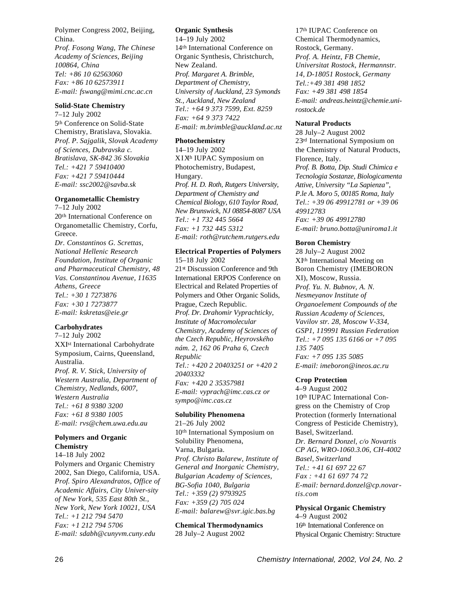Polymer Congress 2002, Beijing, China. *Prof. Fosong Wang, The Chinese Academy of Sciences, Beijing 100864, China Tel: +86 10 62563060 Fax: +86 10 62573911 E-mail: fswang@mimi.cnc.ac.cn*

#### **Solid-State Chemistry**

7–12 July 2002 5th Conference on Solid-State Chemistry, Bratislava, Slovakia. *Prof. P. Sajgalik, Slovak Academy of Sciences, Dubravska c. Bratislava, SK-842 36 Slovakia Tel.: +421 7 59410400 Fax: +421 7 59410444 E-mail: ssc2002@savba.sk*

### **Organometallic Chemistry**

7–12 July 2002 20th International Conference on Organometallic Chemistry, Corfu, Greece. *Dr. Constantinos G. Screttas, National Hellenic Research Foundation, Institute of Organic and Pharmaceutical Chemistry, 48 Vas. Constantinou Avenue, 11635 Athens, Greece Tel.: +30 1 7273876 Fax: +30 1 7273877 E-mail: kskretas@eie.gr*

### **Carbohydrates**

7–12 July 2002 XXI st International Carbohydrate Symposium, Cairns, Queensland, Australia. *Prof. R. V. Stick, University of Western Australia, Department of Chemistry, Nedlands, 6007, Western Australia Tel.: +61 8 9380 3200 Fax: +61 8 9380 1005 E-mail: rvs@chem.uwa.edu.au*

### **Polymers and Organic Chemistry**

14–18 July 2002 Polymers and Organic Chemistry 2002, San Diego, California, USA. *Prof. Spiro Alexandratos, Office of Academic Affairs, City Univer-sity of New York, 535 East 80th St., New York, New York 10021, USA Tel.: +1 212 794 5470 Fax: +1 212 794 5706 E-mail: sdabh@cunyvm.cuny.edu*

### **Organic Synthesis**

14–19 July 2002 14th International Conference on Organic Synthesis, Christchurch, New Zealand.

*Prof. Margaret A. Brimble, Department of Chemistry, University of Auckland, 23 Symonds St., Auckland, New Zealand Tel.: +64 9 373 7599, Ext. 8259 Fax: +64 9 373 7422 E-mail: m.brimble@auckland.ac.nz*

### **Photochemistry**

14–19 July 2002 XIXth IUPAC Symposium on Photochemistry, Budapest, Hungary. *Prof. H. D. Roth, Rutgers University, Department of Chemistry and Chemical Biology, 610 Taylor Road, New Brunswick, NJ 08854-8087 USA Tel.: +1 732 445 5664 Fax: +1 732 445 5312 E-mail: roth@rutchem.rutgers.edu*

### **Electrical Properties of Polymers**

15–18 July 2002 21st Discussion Conference and 9th International ERPOS Conference on Electrical and Related Properties of Polymers and Other Organic Solids, Prague, Czech Republic. *Prof. Dr. Drahomir Vyprachticky, Institute of Macromolecular Chemistry, Academy of Sciences of the Czech Republic, Heyrovského nám. 2, 162 06 Praha 6, Czech Republic Tel.: +420 2 20403251 or +420 2 20403332 Fax: +420 2 35357981 E-mail: vyprach@imc.cas.cz or sympo@imc.cas.cz*

### **Solubility Phenomena**

21–26 July 2002 10<sup>th</sup> International Symposium on Solubility Phenomena, Varna, Bulgaria. *Prof. Christo Balarew, Institute of General and Inorganic Chemistry, Bulgarian Academy of Sciences, BG-Sofia 1040, Bulgaria Tel.: +359 (2) 9793925 Fax: +359 (2) 705 024 E-mail: balarew@svr.igic.bas.bg*

**Chemical Thermodynamics** 28 July–2 August 2002

17th IUPAC Conference on Chemical Thermodynamics, Rostock, Germany. *Prof. A. Heintz, FB Chemie, Universitat Rostock, Hermannstr. 14, D-18051 Rostock, Germany Tel.:+49 381 498 1852 Fax: +49 381 498 1854 E-mail: andreas.heintz@chemie.unirostock.de*

### **Natural Products**

28 July–2 August 2002 23rd International Symposium on the Chemistry of Natural Products, Florence, Italy. *Prof. B. Botta, Dip. Studi Chimica e Tecnologia Sostanze, Biologicamenta Attive, University "La Sapienza", P.le A. Moro 5, 00185 Roma, Italy Tel.: +39 06 49912781 or +39 06 49912783 Fax: +39 06 49912780 E-mail: bruno.botta@uniroma1.it*

### **Boron Chemistry**

28 July–2 August 2002 XI th International Meeting on Boron Chemistry (IMEBORON XI), Moscow, Russia. *Prof. Yu. N. Bubnov, A. N. Nesmeyanov Institute of Organoelement Compounds of the Russian Academy of Sciences, Vavilov str. 28, Moscow V-334, GSP1, 119991 Russian Federation Tel.: +7 095 135 6166 or +7 095 135 7405 Fax: +7 095 135 5085 E-mail: imeboron@ineos.ac.ru*

### **Crop Protection**

4–9 August 2002 10th IUPAC International Congress on the Chemistry of Crop Protection (formerly International Congress of Pesticide Chemistry), Basel, Switzerland. *Dr. Bernard Donzel, c/o Novartis CP AG, WRO-1060.3.06, CH-4002 Basel, Switzerland Tel.: +41 61 697 22 67 Fax : +41 61 697 74 72 E-mail: bernard.donzel@cp.novartis.com*

**Physical Organic Chemistry** 4–9 August 2002 16th International Conference on Physical Organic Chemistry: Structure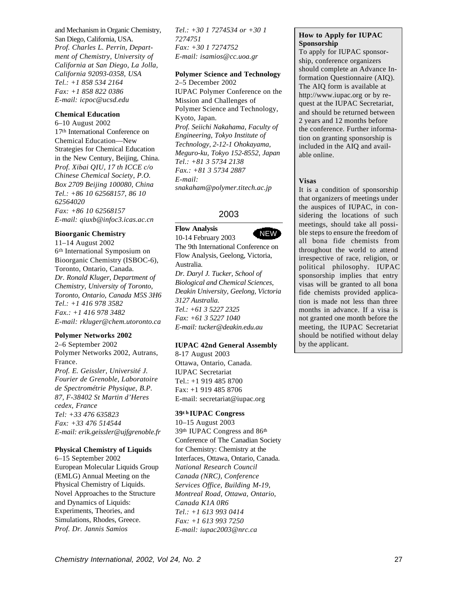and Mechanism in Organic Chemistry, San Diego, California, USA. *Prof. Charles L. Perrin, Department of Chemistry, University of California at San Diego, La Jolla, California 92093-0358, USA Tel.: +1 858 534 2164 Fax: +1 858 822 0386 E-mail: icpoc@ucsd.edu*

### **Chemical Education**

6–10 August 2002 17th International Conference on Chemical Education—New Strategies for Chemical Education in the New Century, Beijing, China. *Prof. Xibai QIU, 17 th ICCE c/o Chinese Chemical Society, P.O. Box 2709 Beijing 100080, China Tel.: +86 10 62568157, 86 10 62564020 Fax: +86 10 62568157 E-mail: qiuxb@infoc3.icas.ac.cn*

### **Bioorganic Chemistry**

11–14 August 2002 6th International Symposium on Bioorganic Chemistry (ISBOC-6), Toronto, Ontario, Canada. *Dr. Ronald Kluger, Department of Chemistry, University of Toronto, Toronto, Ontario, Canada M5S 3H6 Tel.: +1 416 978 3582 Fax.: +1 416 978 3482 E-mail: rkluger@chem.utoronto.ca*

### **Polymer Networks 2002**

2–6 September 2002 Polymer Networks 2002, Autrans, France. *Prof. E. Geissler, Université J. Fourier de Grenoble, Laboratoire de Spectrométrie Physique, B.P. 87, F-38402 St Martin d'Heres cedex, France Tel: +33 476 635823 Fax: +33 476 514544 E-mail: erik.geissler@ujfgrenoble.fr*

### **Physical Chemistry of Liquids**

6–15 September 2002 European Molecular Liquids Group (EMLG) Annual Meeting on the Physical Chemistry of Liquids. Novel Approaches to the Structure and Dynamics of Liquids: Experiments, Theories, and Simulations, Rhodes, Greece. *Prof. Dr. Jannis Samios*

*Tel.: +30 1 7274534 or +30 1 7274751 Fax: +30 1 7274752 E-mail: isamios@cc.uoa.gr*

### **Polymer Science and Technology**

2–5 December 2002 IUPAC Polymer Conference on the Mission and Challenges of Polymer Science and Technology, Kyoto, Japan. *Prof. Seiichi Nakahama, Faculty of Engineering, Tokyo Institute of Technology, 2-12-1 Ohokayama, Meguro-ku, Tokyo 152-8552, Japan Tel.: +81 3 5734 2138 Fax.: +81 3 5734 2887 E-mail: snakaham@polymer.titech.ac.jp*

### 2003

### **Flow Analysis**

10-14 February 2003



The 9th International Conference on Flow Analysis, Geelong, Victoria, Australia. *Dr. Daryl J. Tucker, School of Biological and Chemical Sciences, Deakin University, Geelong, Victoria 3127 Australia. Tel.: +61 3 5227 2325 Fax: +61 3 5227 1040 E-mail: tucker@deakin.edu.au*

### **IUPAC 42nd General Assembly**

8-17 August 2003 Ottawa, Ontario, Canada. IUPAC Secretariat Tel.: +1 919 485 8700 Fax: +1 919 485 8706 E-mail: secretariat@iupac.org

### **39t h IUPAC Congress**

10–15 August 2003 39th IUPAC Congress and 86th Conference of The Canadian Society for Chemistry: Chemistry at the Interfaces, Ottawa, Ontario, Canada. *National Research Council Canada (NRC), Conference Services Office, Building M-19, Montreal Road, Ottawa, Ontario, Canada K1A 0R6 Tel.: +1 613 993 0414 Fax: +1 613 993 7250 E-mail: iupac2003@nrc.ca*

### **How to Apply for IUPAC Sponsorship**

To apply for IUPAC sponsorship, conference organizers should complete an Advance Information Questionnaire (AIQ). The AIQ form is available at http://www.iupac.org or by request at the IUPAC Secretariat, and should be returned between 2 years and 12 months before the conference. Further information on granting sponsorship is included in the AIQ and available online.

### **Visas**

It is a condition of sponsorship that organizers of meetings under the auspices of IUPAC, in considering the locations of such meetings, should take all possible steps to ensure the freedom of all bona fide chemists from throughout the world to attend irrespective of race, religion, or political philosophy. IUPAC sponsorship implies that entry visas will be granted to all bona fide chemists provided application is made not less than three months in advance. If a visa is not granted one month before the meeting, the IUPAC Secretariat should be notified without delay by the applicant.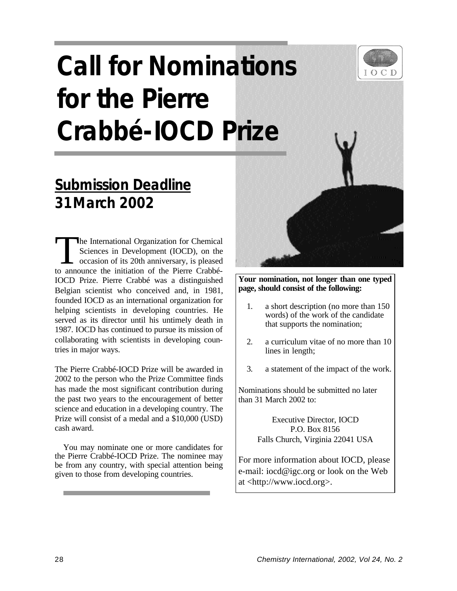# *Call for Nominations for the Pierre Crabbé-IOCD Prize*



# *Submission Deadline 31 March 2002*

The International Organization for Chemical<br>Sciences in Development (IOCD), on the<br>occasion of its 20th anniversary, is pleased<br>to announce the initiation of the Pierre Crabbéhe International Organization for Chemical Sciences in Development (IOCD), on the occasion of its 20th anniversary, is pleased IOCD Prize. Pierre Crabbé was a distinguished Belgian scientist who conceived and, in 1981, founded IOCD as an international organization for helping scientists in developing countries. He served as its director until his untimely death in 1987. IOCD has continued to pursue its mission of collaborating with scientists in developing countries in major ways.

The Pierre Crabbé-IOCD Prize will be awarded in 2002 to the person who the Prize Committee finds has made the most significant contribution during the past two years to the encouragement of better science and education in a developing country. The Prize will consist of a medal and a \$10,000 (USD) cash award.

You may nominate one or more candidates for the Pierre Crabbé-IOCD Prize. The nominee may be from any country, with special attention being given to those from developing countries.



**Your nomination, not longer than one typed page, should consist of the following:**

- 1. a short description (no more than 150 words) of the work of the candidate that supports the nomination;
- 2. a curriculum vitae of no more than 10 lines in length;
- 3. a statement of the impact of the work.

Nominations should be submitted no later than 31 March 2002 to:

> Executive Director, IOCD P.O. Box 8156 Falls Church, Virginia 22041 USA

For more information about IOCD, please e-mail: iocd@igc.org or look on the Web at <http://www.iocd.org>.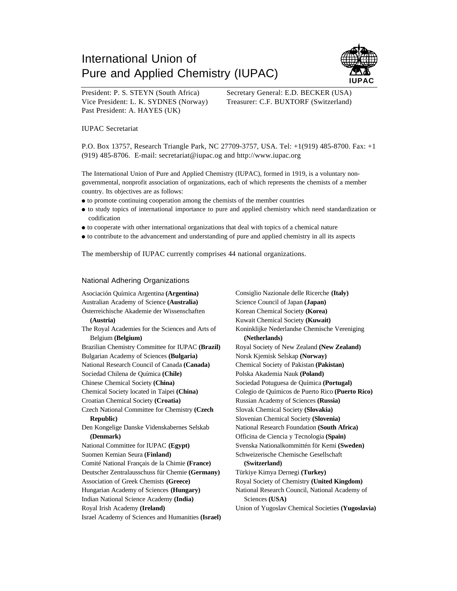# International Union of Pure and Applied Chemistry (IUPAC)



Vice President: L. K. SYDNES (Norway) Treasurer: C.F. BUXTORF (Switzerland) Past President: A. HAYES (UK)

President: P. S. STEYN (South Africa) Secretary General: E.D. BECKER (USA)

IUPAC Secretariat

P.O. Box 13757, Research Triangle Park, NC 27709-3757, USA. Tel: +1(919) 485-8700. Fax: +1 (919) 485-8706. E-mail: secretariat@iupac.og and http://www.iupac.org

The International Union of Pure and Applied Chemistry (IUPAC), formed in 1919, is a voluntary nongovernmental, nonprofit association of organizations, each of which represents the chemists of a member country. Its objectives are as follows:

- to promote continuing cooperation among the chemists of the member countries
- to study topics of international importance to pure and applied chemistry which need standardization or codification
- to cooperate with other international organizations that deal with topics of a chemical nature
- to contribute to the advancement and understanding of pure and applied chemistry in all its aspects

The membership of IUPAC currently comprises 44 national organizations.

### National Adhering Organizations

Asociación Química Argentina **(Argentina)** Australian Academy of Science **(Australia)** Österreichische Akademie der Wissenschaften **(Austria)**  The Royal Academies for the Sciences and Arts of Belgium **(Belgium)** Brazilian Chemistry Committee for IUPAC **(Brazil)** Bulgarian Academy of Sciences **(Bulgaria)** National Research Council of Canada **(Canada)** Sociedad Chilena de Química **(Chile)** Chinese Chemical Society **(China)** Chemical Society located in Taipei **(China)** Croatian Chemical Society **(Croatia)** Czech National Committee for Chemistry **(Czech Republic)** Den Kongelige Danske Videnskabernes Selskab **(Denmark)** National Committee for IUPAC **(Egypt)** Suomen Kemian Seura **(Finland)** Comité National Français de la Chimie **(France)** Deutscher Zentralausschuss für Chemie **(Germany)** Association of Greek Chemists **(Greece)** Hungarian Academy of Sciences **(Hungary)** Indian National Science Academy **(India)** Royal Irish Academy **(Ireland)** Israel Academy of Sciences and Humanities **(Israel)**

Consiglio Nazionale delle Ricerche **(Italy)** Science Council of Japan **(Japan)** Korean Chemical Society **(Korea)** Kuwait Chemical Society **(Kuwait)** Koninklijke Nederlandse Chemische Vereniging **(Netherlands)** Royal Society of New Zealand **(New Zealand)** Norsk Kjemisk Selskap **(Norway)** Chemical Society of Pakistan **(Pakistan)** Polska Akademia Nauk **(Poland)** Sociedad Potuguesa de Química **(Portugal)** Colegio de Químicos de Puerto Rico **(Puerto Rico)** Russian Academy of Sciences **(Russia)** Slovak Chemical Society **(Slovakia)** Slovenian Chemical Society **(Slovenia)** National Research Foundation **(South Africa)** Officina de Ciencia y Tecnologia **(Spain)** Svenska Nationalkommittén för Kemi **(Sweden)** Schweizerische Chemische Gesellschaft **(Switzerland)** Türkiye Kimya Dernegi **(Turkey)** Royal Society of Chemistry **(United Kingdom)** National Research Council, National Academy of Sciences **(USA)** Union of Yugoslav Chemical Societies **(Yugoslavia)**